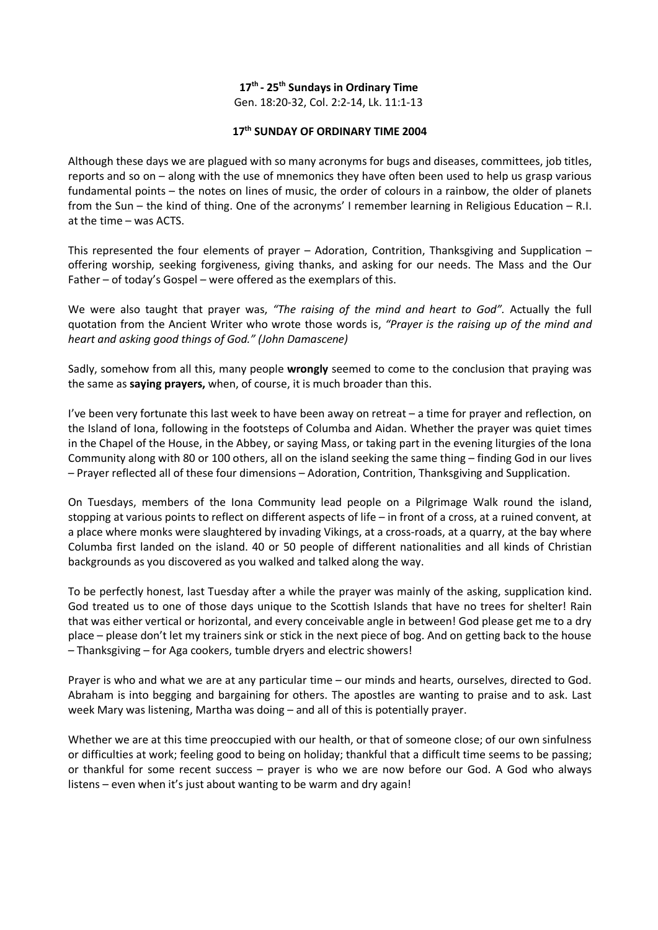#### **17th - 25th Sundays in Ordinary Time**

Gen. 18:20-32, Col. 2:2-14, Lk. 11:1-13

#### **17th SUNDAY OF ORDINARY TIME 2004**

Although these days we are plagued with so many acronyms for bugs and diseases, committees, job titles, reports and so on – along with the use of mnemonics they have often been used to help us grasp various fundamental points – the notes on lines of music, the order of colours in a rainbow, the older of planets from the Sun – the kind of thing. One of the acronyms' I remember learning in Religious Education – R.I. at the time – was ACTS.

This represented the four elements of prayer – Adoration, Contrition, Thanksgiving and Supplication – offering worship, seeking forgiveness, giving thanks, and asking for our needs. The Mass and the Our Father – of today's Gospel – were offered as the exemplars of this.

We were also taught that prayer was, *"The raising of the mind and heart to God".* Actually the full quotation from the Ancient Writer who wrote those words is, *"Prayer is the raising up of the mind and heart and asking good things of God." (John Damascene)*

Sadly, somehow from all this, many people **wrongly** seemed to come to the conclusion that praying was the same as **saying prayers,** when, of course, it is much broader than this.

I've been very fortunate this last week to have been away on retreat – a time for prayer and reflection, on the Island of Iona, following in the footsteps of Columba and Aidan. Whether the prayer was quiet times in the Chapel of the House, in the Abbey, or saying Mass, or taking part in the evening liturgies of the Iona Community along with 80 or 100 others, all on the island seeking the same thing – finding God in our lives – Prayer reflected all of these four dimensions – Adoration, Contrition, Thanksgiving and Supplication.

On Tuesdays, members of the Iona Community lead people on a Pilgrimage Walk round the island, stopping at various points to reflect on different aspects of life – in front of a cross, at a ruined convent, at a place where monks were slaughtered by invading Vikings, at a cross-roads, at a quarry, at the bay where Columba first landed on the island. 40 or 50 people of different nationalities and all kinds of Christian backgrounds as you discovered as you walked and talked along the way.

To be perfectly honest, last Tuesday after a while the prayer was mainly of the asking, supplication kind. God treated us to one of those days unique to the Scottish Islands that have no trees for shelter! Rain that was either vertical or horizontal, and every conceivable angle in between! God please get me to a dry place – please don't let my trainers sink or stick in the next piece of bog. And on getting back to the house – Thanksgiving – for Aga cookers, tumble dryers and electric showers!

Prayer is who and what we are at any particular time – our minds and hearts, ourselves, directed to God. Abraham is into begging and bargaining for others. The apostles are wanting to praise and to ask. Last week Mary was listening, Martha was doing – and all of this is potentially prayer.

Whether we are at this time preoccupied with our health, or that of someone close; of our own sinfulness or difficulties at work; feeling good to being on holiday; thankful that a difficult time seems to be passing; or thankful for some recent success – prayer is who we are now before our God. A God who always listens – even when it's just about wanting to be warm and dry again!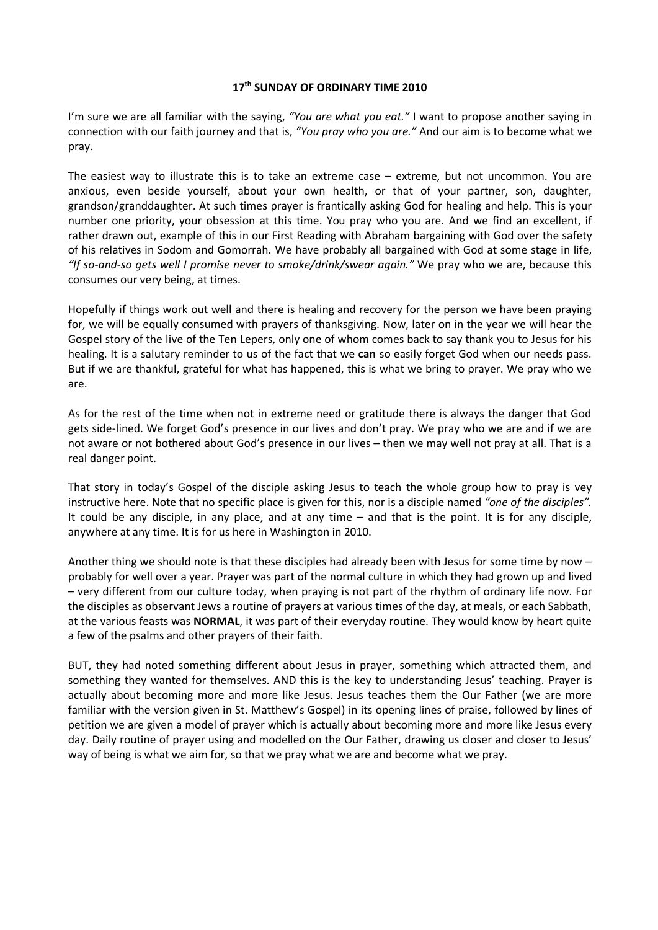#### **17th SUNDAY OF ORDINARY TIME 2010**

I'm sure we are all familiar with the saying, *"You are what you eat."* I want to propose another saying in connection with our faith journey and that is, *"You pray who you are."* And our aim is to become what we pray.

The easiest way to illustrate this is to take an extreme case – extreme, but not uncommon. You are anxious, even beside yourself, about your own health, or that of your partner, son, daughter, grandson/granddaughter. At such times prayer is frantically asking God for healing and help. This is your number one priority, your obsession at this time. You pray who you are. And we find an excellent, if rather drawn out, example of this in our First Reading with Abraham bargaining with God over the safety of his relatives in Sodom and Gomorrah. We have probably all bargained with God at some stage in life, *"If so-and-so gets well I promise never to smoke/drink/swear again."* We pray who we are, because this consumes our very being, at times.

Hopefully if things work out well and there is healing and recovery for the person we have been praying for, we will be equally consumed with prayers of thanksgiving. Now, later on in the year we will hear the Gospel story of the live of the Ten Lepers, only one of whom comes back to say thank you to Jesus for his healing. It is a salutary reminder to us of the fact that we **can** so easily forget God when our needs pass. But if we are thankful, grateful for what has happened, this is what we bring to prayer. We pray who we are.

As for the rest of the time when not in extreme need or gratitude there is always the danger that God gets side-lined. We forget God's presence in our lives and don't pray. We pray who we are and if we are not aware or not bothered about God's presence in our lives – then we may well not pray at all. That is a real danger point.

That story in today's Gospel of the disciple asking Jesus to teach the whole group how to pray is vey instructive here. Note that no specific place is given for this, nor is a disciple named *"one of the disciples".*  It could be any disciple, in any place, and at any time – and that is the point. It is for any disciple, anywhere at any time. It is for us here in Washington in 2010.

Another thing we should note is that these disciples had already been with Jesus for some time by now probably for well over a year. Prayer was part of the normal culture in which they had grown up and lived – very different from our culture today, when praying is not part of the rhythm of ordinary life now. For the disciples as observant Jews a routine of prayers at various times of the day, at meals, or each Sabbath, at the various feasts was **NORMAL**, it was part of their everyday routine. They would know by heart quite a few of the psalms and other prayers of their faith.

BUT, they had noted something different about Jesus in prayer, something which attracted them, and something they wanted for themselves. AND this is the key to understanding Jesus' teaching. Prayer is actually about becoming more and more like Jesus. Jesus teaches them the Our Father (we are more familiar with the version given in St. Matthew's Gospel) in its opening lines of praise, followed by lines of petition we are given a model of prayer which is actually about becoming more and more like Jesus every day. Daily routine of prayer using and modelled on the Our Father, drawing us closer and closer to Jesus' way of being is what we aim for, so that we pray what we are and become what we pray.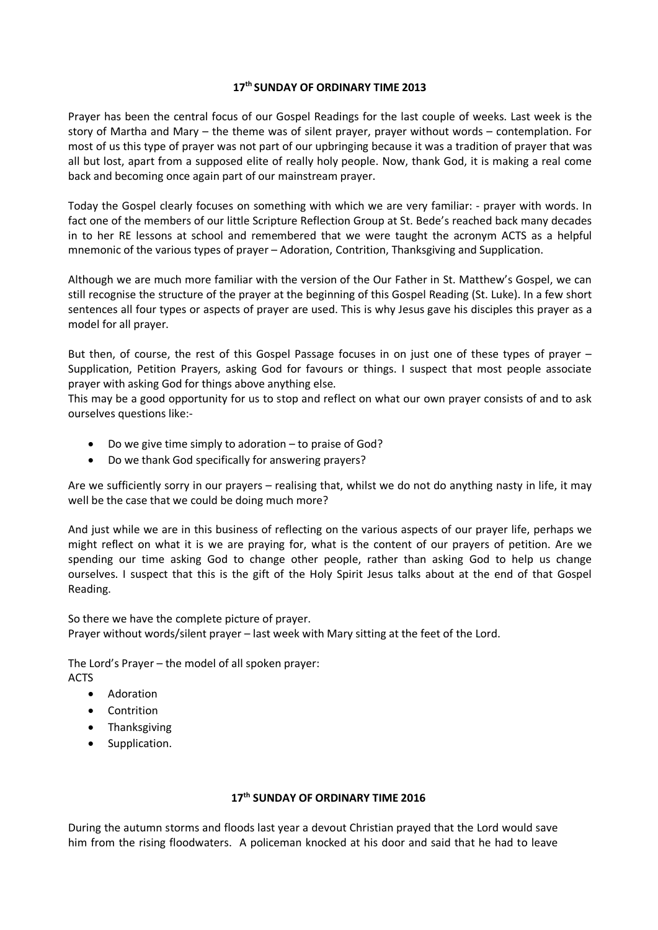#### **17th SUNDAY OF ORDINARY TIME 2013**

Prayer has been the central focus of our Gospel Readings for the last couple of weeks. Last week is the story of Martha and Mary – the theme was of silent prayer, prayer without words – contemplation. For most of us this type of prayer was not part of our upbringing because it was a tradition of prayer that was all but lost, apart from a supposed elite of really holy people. Now, thank God, it is making a real come back and becoming once again part of our mainstream prayer.

Today the Gospel clearly focuses on something with which we are very familiar: - prayer with words. In fact one of the members of our little Scripture Reflection Group at St. Bede's reached back many decades in to her RE lessons at school and remembered that we were taught the acronym ACTS as a helpful mnemonic of the various types of prayer – Adoration, Contrition, Thanksgiving and Supplication.

Although we are much more familiar with the version of the Our Father in St. Matthew's Gospel, we can still recognise the structure of the prayer at the beginning of this Gospel Reading (St. Luke). In a few short sentences all four types or aspects of prayer are used. This is why Jesus gave his disciples this prayer as a model for all prayer.

But then, of course, the rest of this Gospel Passage focuses in on just one of these types of prayer – Supplication, Petition Prayers, asking God for favours or things. I suspect that most people associate prayer with asking God for things above anything else.

This may be a good opportunity for us to stop and reflect on what our own prayer consists of and to ask ourselves questions like:-

- Do we give time simply to adoration to praise of God?
- Do we thank God specifically for answering prayers?

Are we sufficiently sorry in our prayers – realising that, whilst we do not do anything nasty in life, it may well be the case that we could be doing much more?

And just while we are in this business of reflecting on the various aspects of our prayer life, perhaps we might reflect on what it is we are praying for, what is the content of our prayers of petition. Are we spending our time asking God to change other people, rather than asking God to help us change ourselves. I suspect that this is the gift of the Holy Spirit Jesus talks about at the end of that Gospel Reading.

So there we have the complete picture of prayer. Prayer without words/silent prayer – last week with Mary sitting at the feet of the Lord.

The Lord's Prayer – the model of all spoken prayer: ACTS

- Adoration
- Contrition
- Thanksgiving
- Supplication.

# **17th SUNDAY OF ORDINARY TIME 2016**

During the autumn storms and floods last year a devout Christian prayed that the Lord would save him from the rising floodwaters. A policeman knocked at his door and said that he had to leave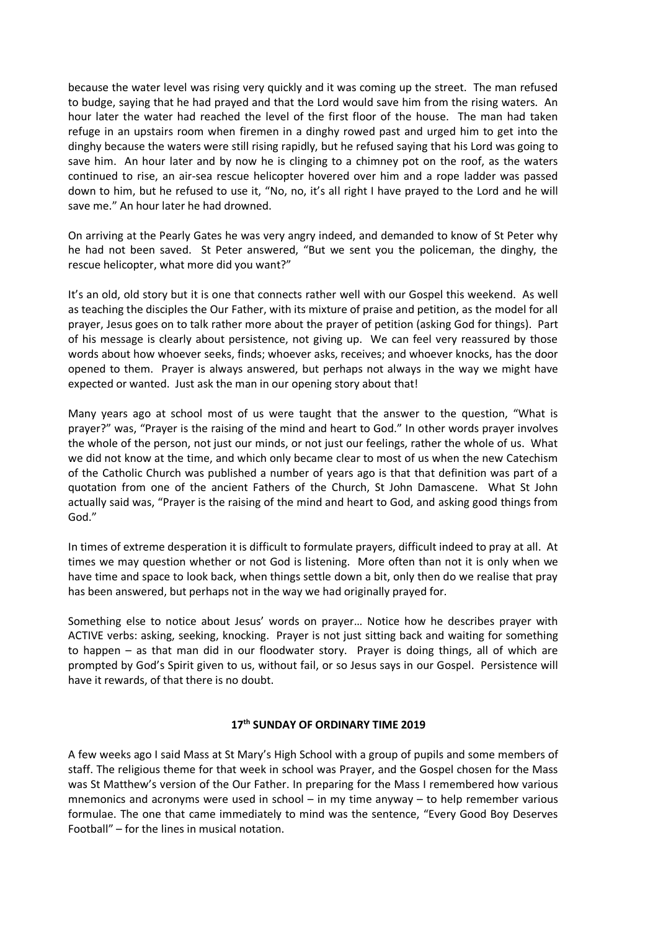because the water level was rising very quickly and it was coming up the street. The man refused to budge, saying that he had prayed and that the Lord would save him from the rising waters. An hour later the water had reached the level of the first floor of the house. The man had taken refuge in an upstairs room when firemen in a dinghy rowed past and urged him to get into the dinghy because the waters were still rising rapidly, but he refused saying that his Lord was going to save him. An hour later and by now he is clinging to a chimney pot on the roof, as the waters continued to rise, an air-sea rescue helicopter hovered over him and a rope ladder was passed down to him, but he refused to use it, "No, no, it's all right I have prayed to the Lord and he will save me." An hour later he had drowned.

On arriving at the Pearly Gates he was very angry indeed, and demanded to know of St Peter why he had not been saved. St Peter answered, "But we sent you the policeman, the dinghy, the rescue helicopter, what more did you want?"

It's an old, old story but it is one that connects rather well with our Gospel this weekend. As well as teaching the disciples the Our Father, with its mixture of praise and petition, as the model for all prayer, Jesus goes on to talk rather more about the prayer of petition (asking God for things). Part of his message is clearly about persistence, not giving up. We can feel very reassured by those words about how whoever seeks, finds; whoever asks, receives; and whoever knocks, has the door opened to them. Prayer is always answered, but perhaps not always in the way we might have expected or wanted. Just ask the man in our opening story about that!

Many years ago at school most of us were taught that the answer to the question, "What is prayer?" was, "Prayer is the raising of the mind and heart to God." In other words prayer involves the whole of the person, not just our minds, or not just our feelings, rather the whole of us. What we did not know at the time, and which only became clear to most of us when the new Catechism of the Catholic Church was published a number of years ago is that that definition was part of a quotation from one of the ancient Fathers of the Church, St John Damascene. What St John actually said was, "Prayer is the raising of the mind and heart to God, and asking good things from God."

In times of extreme desperation it is difficult to formulate prayers, difficult indeed to pray at all. At times we may question whether or not God is listening. More often than not it is only when we have time and space to look back, when things settle down a bit, only then do we realise that pray has been answered, but perhaps not in the way we had originally prayed for.

Something else to notice about Jesus' words on prayer… Notice how he describes prayer with ACTIVE verbs: asking, seeking, knocking. Prayer is not just sitting back and waiting for something to happen – as that man did in our floodwater story. Prayer is doing things, all of which are prompted by God's Spirit given to us, without fail, or so Jesus says in our Gospel. Persistence will have it rewards, of that there is no doubt.

## **17th SUNDAY OF ORDINARY TIME 2019**

A few weeks ago I said Mass at St Mary's High School with a group of pupils and some members of staff. The religious theme for that week in school was Prayer, and the Gospel chosen for the Mass was St Matthew's version of the Our Father. In preparing for the Mass I remembered how various mnemonics and acronyms were used in school  $-$  in my time anyway  $-$  to help remember various formulae. The one that came immediately to mind was the sentence, "Every Good Boy Deserves Football" – for the lines in musical notation.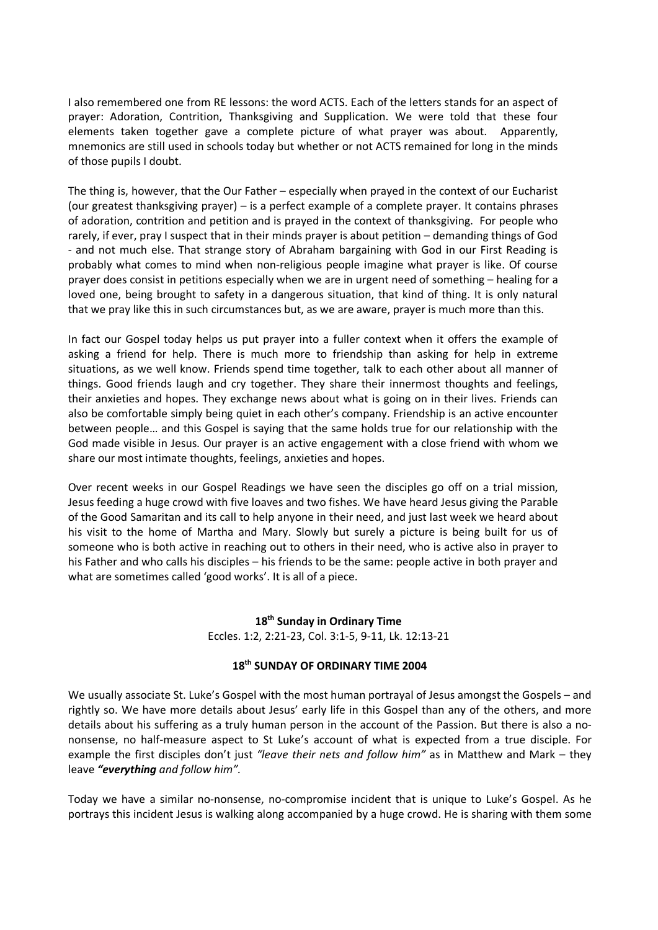I also remembered one from RE lessons: the word ACTS. Each of the letters stands for an aspect of prayer: Adoration, Contrition, Thanksgiving and Supplication. We were told that these four elements taken together gave a complete picture of what prayer was about. Apparently, mnemonics are still used in schools today but whether or not ACTS remained for long in the minds of those pupils I doubt.

The thing is, however, that the Our Father – especially when prayed in the context of our Eucharist (our greatest thanksgiving prayer) – is a perfect example of a complete prayer. It contains phrases of adoration, contrition and petition and is prayed in the context of thanksgiving. For people who rarely, if ever, pray I suspect that in their minds prayer is about petition – demanding things of God - and not much else. That strange story of Abraham bargaining with God in our First Reading is probably what comes to mind when non-religious people imagine what prayer is like. Of course prayer does consist in petitions especially when we are in urgent need of something – healing for a loved one, being brought to safety in a dangerous situation, that kind of thing. It is only natural that we pray like this in such circumstances but, as we are aware, prayer is much more than this.

In fact our Gospel today helps us put prayer into a fuller context when it offers the example of asking a friend for help. There is much more to friendship than asking for help in extreme situations, as we well know. Friends spend time together, talk to each other about all manner of things. Good friends laugh and cry together. They share their innermost thoughts and feelings, their anxieties and hopes. They exchange news about what is going on in their lives. Friends can also be comfortable simply being quiet in each other's company. Friendship is an active encounter between people… and this Gospel is saying that the same holds true for our relationship with the God made visible in Jesus. Our prayer is an active engagement with a close friend with whom we share our most intimate thoughts, feelings, anxieties and hopes.

Over recent weeks in our Gospel Readings we have seen the disciples go off on a trial mission, Jesus feeding a huge crowd with five loaves and two fishes. We have heard Jesus giving the Parable of the Good Samaritan and its call to help anyone in their need, and just last week we heard about his visit to the home of Martha and Mary. Slowly but surely a picture is being built for us of someone who is both active in reaching out to others in their need, who is active also in prayer to his Father and who calls his disciples – his friends to be the same: people active in both prayer and what are sometimes called 'good works'. It is all of a piece.

## **18th Sunday in Ordinary Time**

Eccles. 1:2, 2:21-23, Col. 3:1-5, 9-11, Lk. 12:13-21

## **18th SUNDAY OF ORDINARY TIME 2004**

We usually associate St. Luke's Gospel with the most human portraval of Jesus amongst the Gospels – and rightly so. We have more details about Jesus' early life in this Gospel than any of the others, and more details about his suffering as a truly human person in the account of the Passion. But there is also a nononsense, no half-measure aspect to St Luke's account of what is expected from a true disciple. For example the first disciples don't just *"leave their nets and follow him"* as in Matthew and Mark – they leave *"everything and follow him".*

Today we have a similar no-nonsense, no-compromise incident that is unique to Luke's Gospel. As he portrays this incident Jesus is walking along accompanied by a huge crowd. He is sharing with them some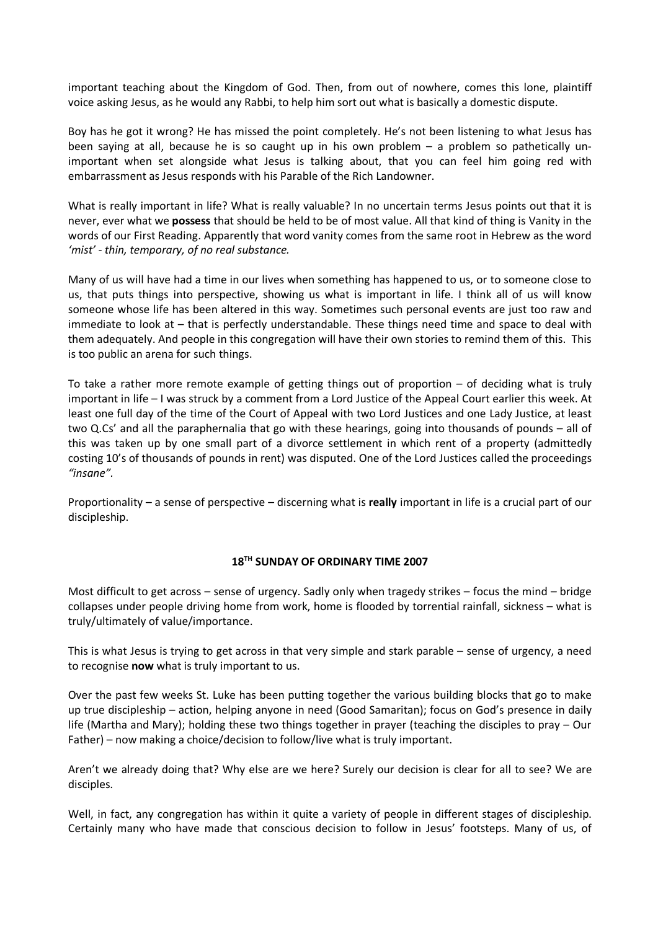important teaching about the Kingdom of God. Then, from out of nowhere, comes this lone, plaintiff voice asking Jesus, as he would any Rabbi, to help him sort out what is basically a domestic dispute.

Boy has he got it wrong? He has missed the point completely. He's not been listening to what Jesus has been saying at all, because he is so caught up in his own problem – a problem so pathetically unimportant when set alongside what Jesus is talking about, that you can feel him going red with embarrassment as Jesus responds with his Parable of the Rich Landowner.

What is really important in life? What is really valuable? In no uncertain terms Jesus points out that it is never, ever what we **possess** that should be held to be of most value. All that kind of thing is Vanity in the words of our First Reading. Apparently that word vanity comes from the same root in Hebrew as the word *'mist' - thin, temporary, of no real substance.*

Many of us will have had a time in our lives when something has happened to us, or to someone close to us, that puts things into perspective, showing us what is important in life. I think all of us will know someone whose life has been altered in this way. Sometimes such personal events are just too raw and immediate to look at – that is perfectly understandable. These things need time and space to deal with them adequately. And people in this congregation will have their own stories to remind them of this. This is too public an arena for such things.

To take a rather more remote example of getting things out of proportion – of deciding what is truly important in life – I was struck by a comment from a Lord Justice of the Appeal Court earlier this week. At least one full day of the time of the Court of Appeal with two Lord Justices and one Lady Justice, at least two Q.Cs' and all the paraphernalia that go with these hearings, going into thousands of pounds – all of this was taken up by one small part of a divorce settlement in which rent of a property (admittedly costing 10's of thousands of pounds in rent) was disputed. One of the Lord Justices called the proceedings *"insane".*

Proportionality – a sense of perspective – discerning what is **really** important in life is a crucial part of our discipleship.

## **18TH SUNDAY OF ORDINARY TIME 2007**

Most difficult to get across – sense of urgency. Sadly only when tragedy strikes – focus the mind – bridge collapses under people driving home from work, home is flooded by torrential rainfall, sickness – what is truly/ultimately of value/importance.

This is what Jesus is trying to get across in that very simple and stark parable – sense of urgency, a need to recognise **now** what is truly important to us.

Over the past few weeks St. Luke has been putting together the various building blocks that go to make up true discipleship – action, helping anyone in need (Good Samaritan); focus on God's presence in daily life (Martha and Mary); holding these two things together in prayer (teaching the disciples to pray – Our Father) – now making a choice/decision to follow/live what is truly important.

Aren't we already doing that? Why else are we here? Surely our decision is clear for all to see? We are disciples.

Well, in fact, any congregation has within it quite a variety of people in different stages of discipleship. Certainly many who have made that conscious decision to follow in Jesus' footsteps. Many of us, of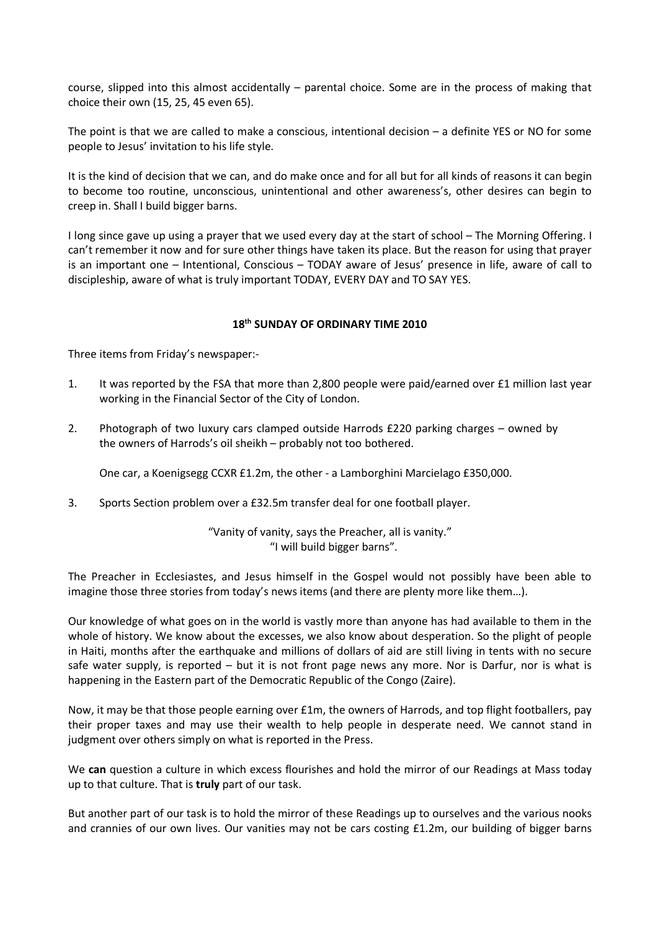course, slipped into this almost accidentally – parental choice. Some are in the process of making that choice their own (15, 25, 45 even 65).

The point is that we are called to make a conscious, intentional decision – a definite YES or NO for some people to Jesus' invitation to his life style.

It is the kind of decision that we can, and do make once and for all but for all kinds of reasons it can begin to become too routine, unconscious, unintentional and other awareness's, other desires can begin to creep in. Shall I build bigger barns.

I long since gave up using a prayer that we used every day at the start of school – The Morning Offering. I can't remember it now and for sure other things have taken its place. But the reason for using that prayer is an important one – Intentional, Conscious – TODAY aware of Jesus' presence in life, aware of call to discipleship, aware of what is truly important TODAY, EVERY DAY and TO SAY YES.

# **18th SUNDAY OF ORDINARY TIME 2010**

Three items from Friday's newspaper:-

- 1. It was reported by the FSA that more than 2,800 people were paid/earned over £1 million last year working in the Financial Sector of the City of London.
- 2. Photograph of two luxury cars clamped outside Harrods £220 parking charges owned by the owners of Harrods's oil sheikh – probably not too bothered.

One car, a Koenigsegg CCXR £1.2m, the other - a Lamborghini Marcielago £350,000.

3. Sports Section problem over a £32.5m transfer deal for one football player.

"Vanity of vanity, says the Preacher, all is vanity." "I will build bigger barns".

The Preacher in Ecclesiastes, and Jesus himself in the Gospel would not possibly have been able to imagine those three stories from today's news items (and there are plenty more like them…).

Our knowledge of what goes on in the world is vastly more than anyone has had available to them in the whole of history. We know about the excesses, we also know about desperation. So the plight of people in Haiti, months after the earthquake and millions of dollars of aid are still living in tents with no secure safe water supply, is reported – but it is not front page news any more. Nor is Darfur, nor is what is happening in the Eastern part of the Democratic Republic of the Congo (Zaire).

Now, it may be that those people earning over £1m, the owners of Harrods, and top flight footballers, pay their proper taxes and may use their wealth to help people in desperate need. We cannot stand in judgment over others simply on what is reported in the Press.

We **can** question a culture in which excess flourishes and hold the mirror of our Readings at Mass today up to that culture. That is **truly** part of our task.

But another part of our task is to hold the mirror of these Readings up to ourselves and the various nooks and crannies of our own lives. Our vanities may not be cars costing £1.2m, our building of bigger barns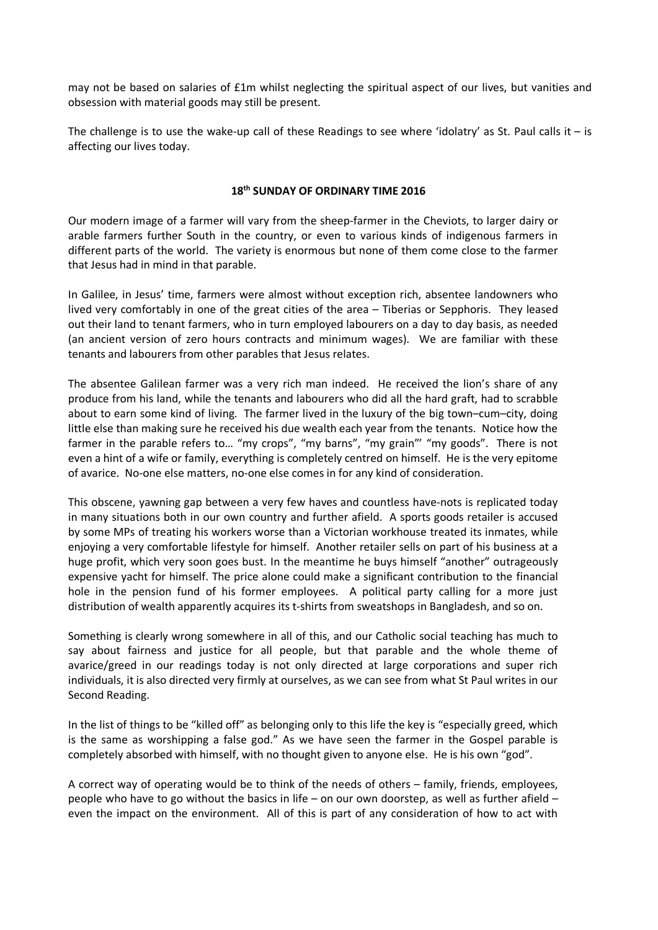may not be based on salaries of £1m whilst neglecting the spiritual aspect of our lives, but vanities and obsession with material goods may still be present.

The challenge is to use the wake-up call of these Readings to see where 'idolatry' as St. Paul calls it  $-$  is affecting our lives today.

# **18th SUNDAY OF ORDINARY TIME 2016**

Our modern image of a farmer will vary from the sheep-farmer in the Cheviots, to larger dairy or arable farmers further South in the country, or even to various kinds of indigenous farmers in different parts of the world. The variety is enormous but none of them come close to the farmer that Jesus had in mind in that parable.

In Galilee, in Jesus' time, farmers were almost without exception rich, absentee landowners who lived very comfortably in one of the great cities of the area – Tiberias or Sepphoris. They leased out their land to tenant farmers, who in turn employed labourers on a day to day basis, as needed (an ancient version of zero hours contracts and minimum wages). We are familiar with these tenants and labourers from other parables that Jesus relates.

The absentee Galilean farmer was a very rich man indeed. He received the lion's share of any produce from his land, while the tenants and labourers who did all the hard graft, had to scrabble about to earn some kind of living. The farmer lived in the luxury of the big town–cum–city, doing little else than making sure he received his due wealth each year from the tenants. Notice how the farmer in the parable refers to… "my crops", "my barns", "my grain"' "my goods". There is not even a hint of a wife or family, everything is completely centred on himself. He is the very epitome of avarice. No-one else matters, no-one else comes in for any kind of consideration.

This obscene, yawning gap between a very few haves and countless have-nots is replicated today in many situations both in our own country and further afield. A sports goods retailer is accused by some MPs of treating his workers worse than a Victorian workhouse treated its inmates, while enjoying a very comfortable lifestyle for himself. Another retailer sells on part of his business at a huge profit, which very soon goes bust. In the meantime he buys himself "another" outrageously expensive yacht for himself. The price alone could make a significant contribution to the financial hole in the pension fund of his former employees. A political party calling for a more just distribution of wealth apparently acquires its t-shirts from sweatshops in Bangladesh, and so on.

Something is clearly wrong somewhere in all of this, and our Catholic social teaching has much to say about fairness and justice for all people, but that parable and the whole theme of avarice/greed in our readings today is not only directed at large corporations and super rich individuals, it is also directed very firmly at ourselves, as we can see from what St Paul writes in our Second Reading.

In the list of things to be "killed off" as belonging only to this life the key is "especially greed, which is the same as worshipping a false god." As we have seen the farmer in the Gospel parable is completely absorbed with himself, with no thought given to anyone else. He is his own "god".

A correct way of operating would be to think of the needs of others – family, friends, employees, people who have to go without the basics in life – on our own doorstep, as well as further afield – even the impact on the environment. All of this is part of any consideration of how to act with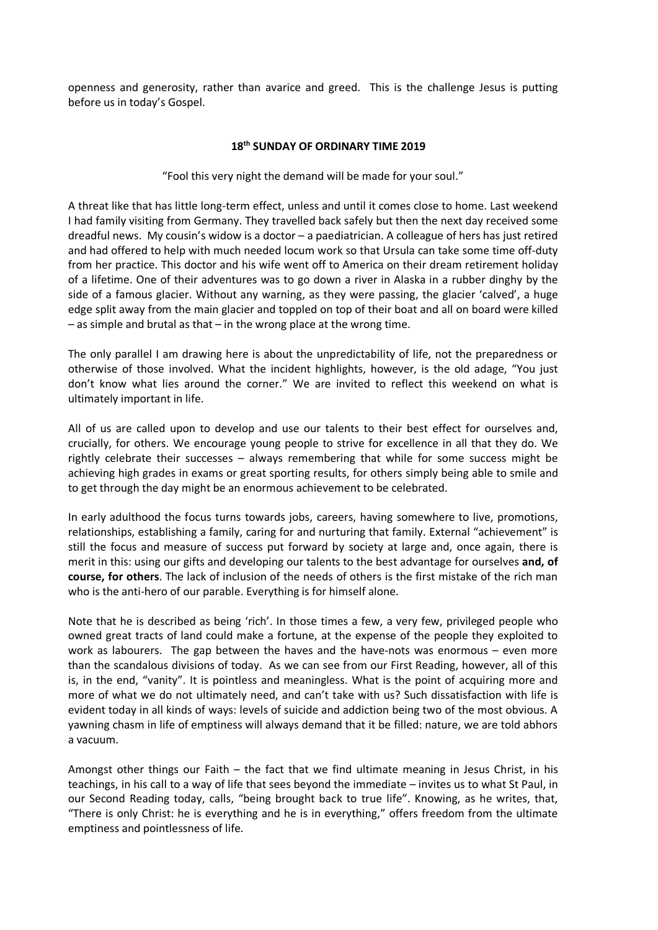openness and generosity, rather than avarice and greed. This is the challenge Jesus is putting before us in today's Gospel.

#### **18th SUNDAY OF ORDINARY TIME 2019**

"Fool this very night the demand will be made for your soul."

A threat like that has little long-term effect, unless and until it comes close to home. Last weekend I had family visiting from Germany. They travelled back safely but then the next day received some dreadful news. My cousin's widow is a doctor – a paediatrician. A colleague of hers has just retired and had offered to help with much needed locum work so that Ursula can take some time off-duty from her practice. This doctor and his wife went off to America on their dream retirement holiday of a lifetime. One of their adventures was to go down a river in Alaska in a rubber dinghy by the side of a famous glacier. Without any warning, as they were passing, the glacier 'calved', a huge edge split away from the main glacier and toppled on top of their boat and all on board were killed – as simple and brutal as that – in the wrong place at the wrong time.

The only parallel I am drawing here is about the unpredictability of life, not the preparedness or otherwise of those involved. What the incident highlights, however, is the old adage, "You just don't know what lies around the corner." We are invited to reflect this weekend on what is ultimately important in life.

All of us are called upon to develop and use our talents to their best effect for ourselves and, crucially, for others. We encourage young people to strive for excellence in all that they do. We rightly celebrate their successes – always remembering that while for some success might be achieving high grades in exams or great sporting results, for others simply being able to smile and to get through the day might be an enormous achievement to be celebrated.

In early adulthood the focus turns towards jobs, careers, having somewhere to live, promotions, relationships, establishing a family, caring for and nurturing that family. External "achievement" is still the focus and measure of success put forward by society at large and, once again, there is merit in this: using our gifts and developing our talents to the best advantage for ourselves **and, of course, for others**. The lack of inclusion of the needs of others is the first mistake of the rich man who is the anti-hero of our parable. Everything is for himself alone.

Note that he is described as being 'rich'. In those times a few, a very few, privileged people who owned great tracts of land could make a fortune, at the expense of the people they exploited to work as labourers. The gap between the haves and the have-nots was enormous – even more than the scandalous divisions of today. As we can see from our First Reading, however, all of this is, in the end, "vanity". It is pointless and meaningless. What is the point of acquiring more and more of what we do not ultimately need, and can't take with us? Such dissatisfaction with life is evident today in all kinds of ways: levels of suicide and addiction being two of the most obvious. A yawning chasm in life of emptiness will always demand that it be filled: nature, we are told abhors a vacuum.

Amongst other things our Faith – the fact that we find ultimate meaning in Jesus Christ, in his teachings, in his call to a way of life that sees beyond the immediate – invites us to what St Paul, in our Second Reading today, calls, "being brought back to true life". Knowing, as he writes, that, "There is only Christ: he is everything and he is in everything," offers freedom from the ultimate emptiness and pointlessness of life.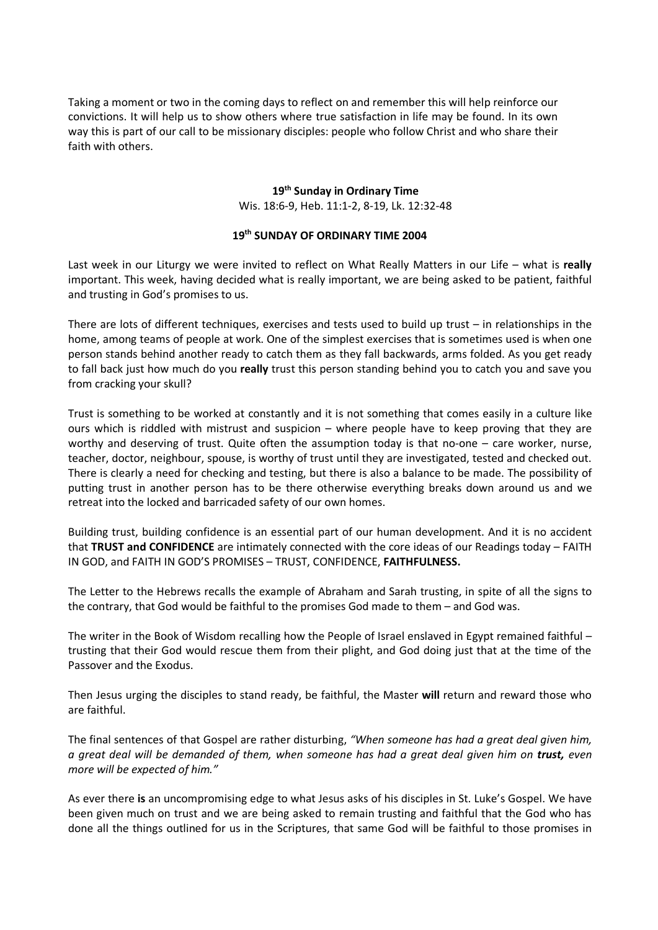Taking a moment or two in the coming days to reflect on and remember this will help reinforce our convictions. It will help us to show others where true satisfaction in life may be found. In its own way this is part of our call to be missionary disciples: people who follow Christ and who share their faith with others.

# **19th Sunday in Ordinary Time**

Wis. 18:6-9, Heb. 11:1-2, 8-19, Lk. 12:32-48

#### **19th SUNDAY OF ORDINARY TIME 2004**

Last week in our Liturgy we were invited to reflect on What Really Matters in our Life – what is **really**  important. This week, having decided what is really important, we are being asked to be patient, faithful and trusting in God's promises to us.

There are lots of different techniques, exercises and tests used to build up trust – in relationships in the home, among teams of people at work. One of the simplest exercises that is sometimes used is when one person stands behind another ready to catch them as they fall backwards, arms folded. As you get ready to fall back just how much do you **really** trust this person standing behind you to catch you and save you from cracking your skull?

Trust is something to be worked at constantly and it is not something that comes easily in a culture like ours which is riddled with mistrust and suspicion – where people have to keep proving that they are worthy and deserving of trust. Quite often the assumption today is that no-one – care worker, nurse, teacher, doctor, neighbour, spouse, is worthy of trust until they are investigated, tested and checked out. There is clearly a need for checking and testing, but there is also a balance to be made. The possibility of putting trust in another person has to be there otherwise everything breaks down around us and we retreat into the locked and barricaded safety of our own homes.

Building trust, building confidence is an essential part of our human development. And it is no accident that **TRUST and CONFIDENCE** are intimately connected with the core ideas of our Readings today – FAITH IN GOD, and FAITH IN GOD'S PROMISES – TRUST, CONFIDENCE, **FAITHFULNESS.**

The Letter to the Hebrews recalls the example of Abraham and Sarah trusting, in spite of all the signs to the contrary, that God would be faithful to the promises God made to them – and God was.

The writer in the Book of Wisdom recalling how the People of Israel enslaved in Egypt remained faithful – trusting that their God would rescue them from their plight, and God doing just that at the time of the Passover and the Exodus.

Then Jesus urging the disciples to stand ready, be faithful, the Master **will** return and reward those who are faithful.

The final sentences of that Gospel are rather disturbing, *"When someone has had a great deal given him, a great deal will be demanded of them, when someone has had a great deal given him on trust, even more will be expected of him."*

As ever there **is** an uncompromising edge to what Jesus asks of his disciples in St. Luke's Gospel. We have been given much on trust and we are being asked to remain trusting and faithful that the God who has done all the things outlined for us in the Scriptures, that same God will be faithful to those promises in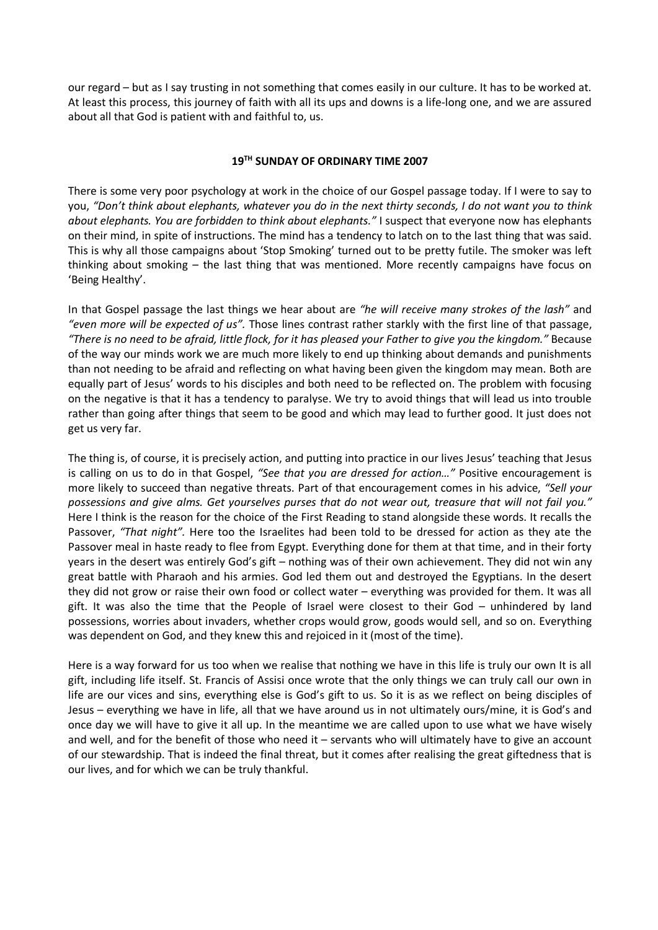our regard – but as I say trusting in not something that comes easily in our culture. It has to be worked at. At least this process, this journey of faith with all its ups and downs is a life-long one, and we are assured about all that God is patient with and faithful to, us.

# **19TH SUNDAY OF ORDINARY TIME 2007**

There is some very poor psychology at work in the choice of our Gospel passage today. If I were to say to you, *"Don't think about elephants, whatever you do in the next thirty seconds, I do not want you to think about elephants. You are forbidden to think about elephants."* I suspect that everyone now has elephants on their mind, in spite of instructions. The mind has a tendency to latch on to the last thing that was said. This is why all those campaigns about 'Stop Smoking' turned out to be pretty futile. The smoker was left thinking about smoking – the last thing that was mentioned. More recently campaigns have focus on 'Being Healthy'.

In that Gospel passage the last things we hear about are *"he will receive many strokes of the lash"* and *"even more will be expected of us".* Those lines contrast rather starkly with the first line of that passage, *"There is no need to be afraid, little flock, for it has pleased your Father to give you the kingdom."* Because of the way our minds work we are much more likely to end up thinking about demands and punishments than not needing to be afraid and reflecting on what having been given the kingdom may mean. Both are equally part of Jesus' words to his disciples and both need to be reflected on. The problem with focusing on the negative is that it has a tendency to paralyse. We try to avoid things that will lead us into trouble rather than going after things that seem to be good and which may lead to further good. It just does not get us very far.

The thing is, of course, it is precisely action, and putting into practice in our lives Jesus' teaching that Jesus is calling on us to do in that Gospel, *"See that you are dressed for action…"* Positive encouragement is more likely to succeed than negative threats. Part of that encouragement comes in his advice, *"Sell your possessions and give alms. Get yourselves purses that do not wear out, treasure that will not fail you."* Here I think is the reason for the choice of the First Reading to stand alongside these words. It recalls the Passover, *"That night".* Here too the Israelites had been told to be dressed for action as they ate the Passover meal in haste ready to flee from Egypt. Everything done for them at that time, and in their forty years in the desert was entirely God's gift – nothing was of their own achievement. They did not win any great battle with Pharaoh and his armies. God led them out and destroyed the Egyptians. In the desert they did not grow or raise their own food or collect water – everything was provided for them. It was all gift. It was also the time that the People of Israel were closest to their God – unhindered by land possessions, worries about invaders, whether crops would grow, goods would sell, and so on. Everything was dependent on God, and they knew this and rejoiced in it (most of the time).

Here is a way forward for us too when we realise that nothing we have in this life is truly our own It is all gift, including life itself. St. Francis of Assisi once wrote that the only things we can truly call our own in life are our vices and sins, everything else is God's gift to us. So it is as we reflect on being disciples of Jesus – everything we have in life, all that we have around us in not ultimately ours/mine, it is God's and once day we will have to give it all up. In the meantime we are called upon to use what we have wisely and well, and for the benefit of those who need it – servants who will ultimately have to give an account of our stewardship. That is indeed the final threat, but it comes after realising the great giftedness that is our lives, and for which we can be truly thankful.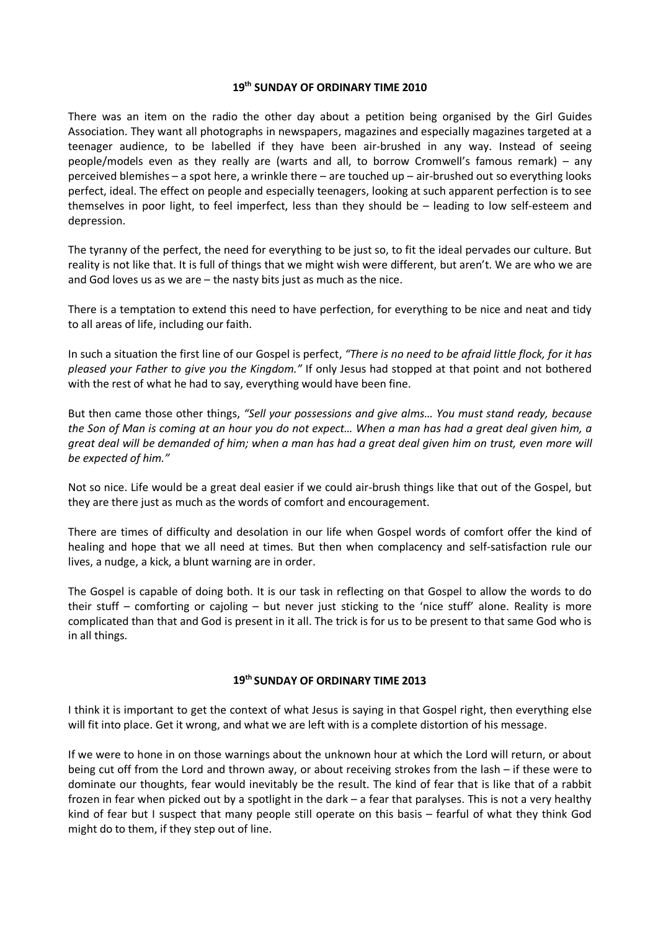#### **19th SUNDAY OF ORDINARY TIME 2010**

There was an item on the radio the other day about a petition being organised by the Girl Guides Association. They want all photographs in newspapers, magazines and especially magazines targeted at a teenager audience, to be labelled if they have been air-brushed in any way. Instead of seeing people/models even as they really are (warts and all, to borrow Cromwell's famous remark) – any perceived blemishes – a spot here, a wrinkle there – are touched up – air-brushed out so everything looks perfect, ideal. The effect on people and especially teenagers, looking at such apparent perfection is to see themselves in poor light, to feel imperfect, less than they should be – leading to low self-esteem and depression.

The tyranny of the perfect, the need for everything to be just so, to fit the ideal pervades our culture. But reality is not like that. It is full of things that we might wish were different, but aren't. We are who we are and God loves us as we are – the nasty bits just as much as the nice.

There is a temptation to extend this need to have perfection, for everything to be nice and neat and tidy to all areas of life, including our faith.

In such a situation the first line of our Gospel is perfect, *"There is no need to be afraid little flock, for it has pleased your Father to give you the Kingdom."* If only Jesus had stopped at that point and not bothered with the rest of what he had to say, everything would have been fine.

But then came those other things, *"Sell your possessions and give alms… You must stand ready, because the Son of Man is coming at an hour you do not expect… When a man has had a great deal given him, a great deal will be demanded of him; when a man has had a great deal given him on trust, even more will be expected of him."*

Not so nice. Life would be a great deal easier if we could air-brush things like that out of the Gospel, but they are there just as much as the words of comfort and encouragement.

There are times of difficulty and desolation in our life when Gospel words of comfort offer the kind of healing and hope that we all need at times. But then when complacency and self-satisfaction rule our lives, a nudge, a kick, a blunt warning are in order.

The Gospel is capable of doing both. It is our task in reflecting on that Gospel to allow the words to do their stuff – comforting or cajoling – but never just sticking to the 'nice stuff' alone. Reality is more complicated than that and God is present in it all. The trick is for us to be present to that same God who is in all things.

## **19th SUNDAY OF ORDINARY TIME 2013**

I think it is important to get the context of what Jesus is saying in that Gospel right, then everything else will fit into place. Get it wrong, and what we are left with is a complete distortion of his message.

If we were to hone in on those warnings about the unknown hour at which the Lord will return, or about being cut off from the Lord and thrown away, or about receiving strokes from the lash – if these were to dominate our thoughts, fear would inevitably be the result. The kind of fear that is like that of a rabbit frozen in fear when picked out by a spotlight in the dark – a fear that paralyses. This is not a very healthy kind of fear but I suspect that many people still operate on this basis – fearful of what they think God might do to them, if they step out of line.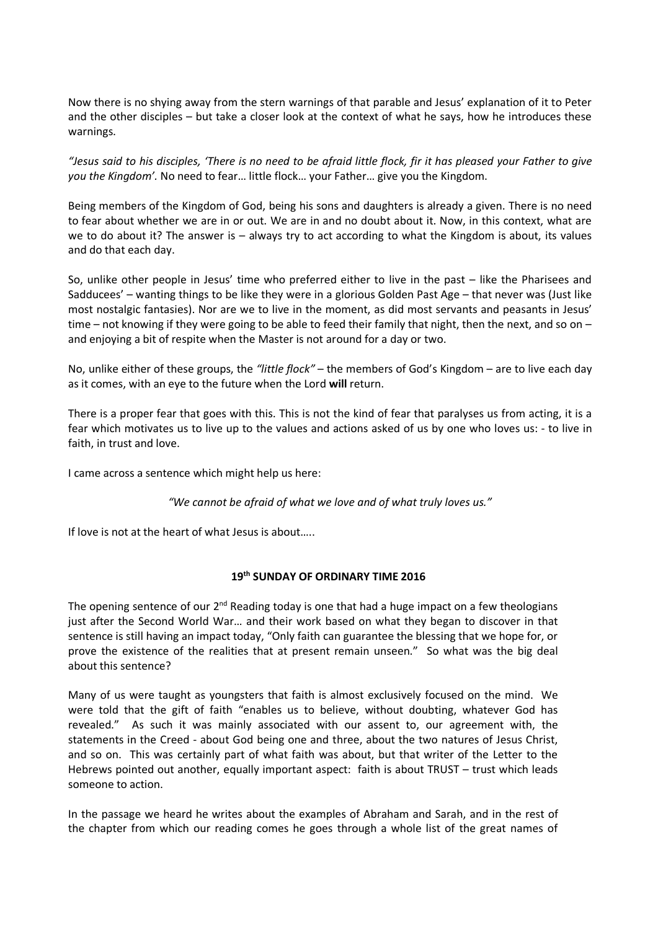Now there is no shying away from the stern warnings of that parable and Jesus' explanation of it to Peter and the other disciples – but take a closer look at the context of what he says, how he introduces these warnings.

*"Jesus said to his disciples, 'There is no need to be afraid little flock, fir it has pleased your Father to give you the Kingdom'.* No need to fear… little flock… your Father… give you the Kingdom.

Being members of the Kingdom of God, being his sons and daughters is already a given. There is no need to fear about whether we are in or out. We are in and no doubt about it. Now, in this context, what are we to do about it? The answer is – always try to act according to what the Kingdom is about, its values and do that each day.

So, unlike other people in Jesus' time who preferred either to live in the past – like the Pharisees and Sadducees' – wanting things to be like they were in a glorious Golden Past Age – that never was (Just like most nostalgic fantasies). Nor are we to live in the moment, as did most servants and peasants in Jesus' time – not knowing if they were going to be able to feed their family that night, then the next, and so on – and enjoying a bit of respite when the Master is not around for a day or two.

No, unlike either of these groups, the *"little flock"* – the members of God's Kingdom – are to live each day as it comes, with an eye to the future when the Lord **will** return.

There is a proper fear that goes with this. This is not the kind of fear that paralyses us from acting, it is a fear which motivates us to live up to the values and actions asked of us by one who loves us: - to live in faith, in trust and love.

I came across a sentence which might help us here:

*"We cannot be afraid of what we love and of what truly loves us."*

If love is not at the heart of what Jesus is about…..

## **19th SUNDAY OF ORDINARY TIME 2016**

The opening sentence of our  $2^{nd}$  Reading today is one that had a huge impact on a few theologians just after the Second World War… and their work based on what they began to discover in that sentence is still having an impact today, "Only faith can guarantee the blessing that we hope for, or prove the existence of the realities that at present remain unseen." So what was the big deal about this sentence?

Many of us were taught as youngsters that faith is almost exclusively focused on the mind. We were told that the gift of faith "enables us to believe, without doubting, whatever God has revealed." As such it was mainly associated with our assent to, our agreement with, the statements in the Creed - about God being one and three, about the two natures of Jesus Christ, and so on. This was certainly part of what faith was about, but that writer of the Letter to the Hebrews pointed out another, equally important aspect: faith is about TRUST – trust which leads someone to action.

In the passage we heard he writes about the examples of Abraham and Sarah, and in the rest of the chapter from which our reading comes he goes through a whole list of the great names of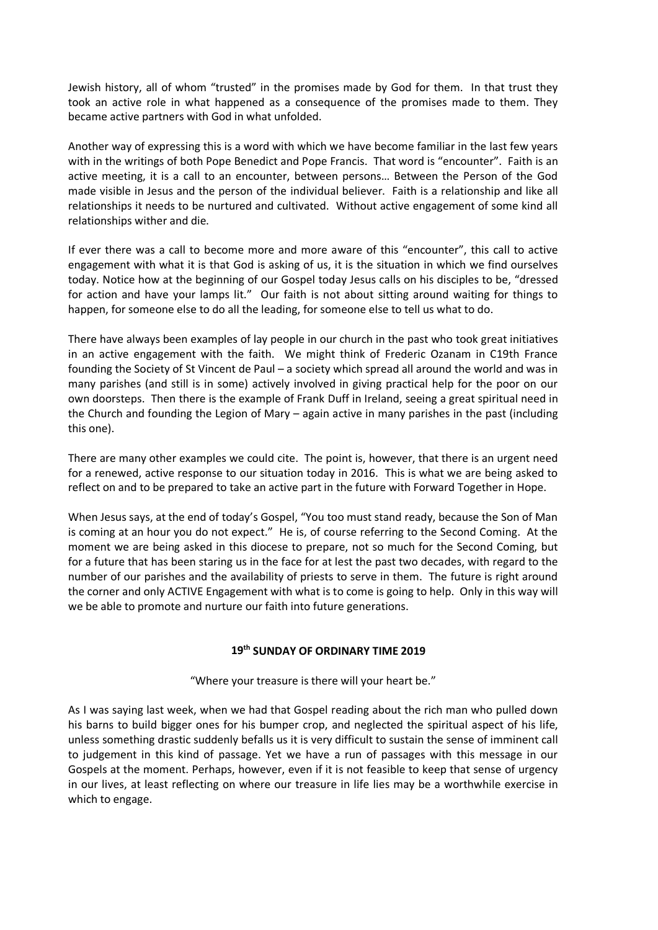Jewish history, all of whom "trusted" in the promises made by God for them. In that trust they took an active role in what happened as a consequence of the promises made to them. They became active partners with God in what unfolded.

Another way of expressing this is a word with which we have become familiar in the last few years with in the writings of both Pope Benedict and Pope Francis. That word is "encounter". Faith is an active meeting, it is a call to an encounter, between persons… Between the Person of the God made visible in Jesus and the person of the individual believer. Faith is a relationship and like all relationships it needs to be nurtured and cultivated. Without active engagement of some kind all relationships wither and die.

If ever there was a call to become more and more aware of this "encounter", this call to active engagement with what it is that God is asking of us, it is the situation in which we find ourselves today. Notice how at the beginning of our Gospel today Jesus calls on his disciples to be, "dressed for action and have your lamps lit." Our faith is not about sitting around waiting for things to happen, for someone else to do all the leading, for someone else to tell us what to do.

There have always been examples of lay people in our church in the past who took great initiatives in an active engagement with the faith. We might think of Frederic Ozanam in C19th France founding the Society of St Vincent de Paul – a society which spread all around the world and was in many parishes (and still is in some) actively involved in giving practical help for the poor on our own doorsteps. Then there is the example of Frank Duff in Ireland, seeing a great spiritual need in the Church and founding the Legion of Mary – again active in many parishes in the past (including this one).

There are many other examples we could cite. The point is, however, that there is an urgent need for a renewed, active response to our situation today in 2016. This is what we are being asked to reflect on and to be prepared to take an active part in the future with Forward Together in Hope.

When Jesus says, at the end of today's Gospel, "You too must stand ready, because the Son of Man is coming at an hour you do not expect." He is, of course referring to the Second Coming. At the moment we are being asked in this diocese to prepare, not so much for the Second Coming, but for a future that has been staring us in the face for at lest the past two decades, with regard to the number of our parishes and the availability of priests to serve in them. The future is right around the corner and only ACTIVE Engagement with what is to come is going to help. Only in this way will we be able to promote and nurture our faith into future generations.

## **19th SUNDAY OF ORDINARY TIME 2019**

"Where your treasure is there will your heart be."

As I was saying last week, when we had that Gospel reading about the rich man who pulled down his barns to build bigger ones for his bumper crop, and neglected the spiritual aspect of his life, unless something drastic suddenly befalls us it is very difficult to sustain the sense of imminent call to judgement in this kind of passage. Yet we have a run of passages with this message in our Gospels at the moment. Perhaps, however, even if it is not feasible to keep that sense of urgency in our lives, at least reflecting on where our treasure in life lies may be a worthwhile exercise in which to engage.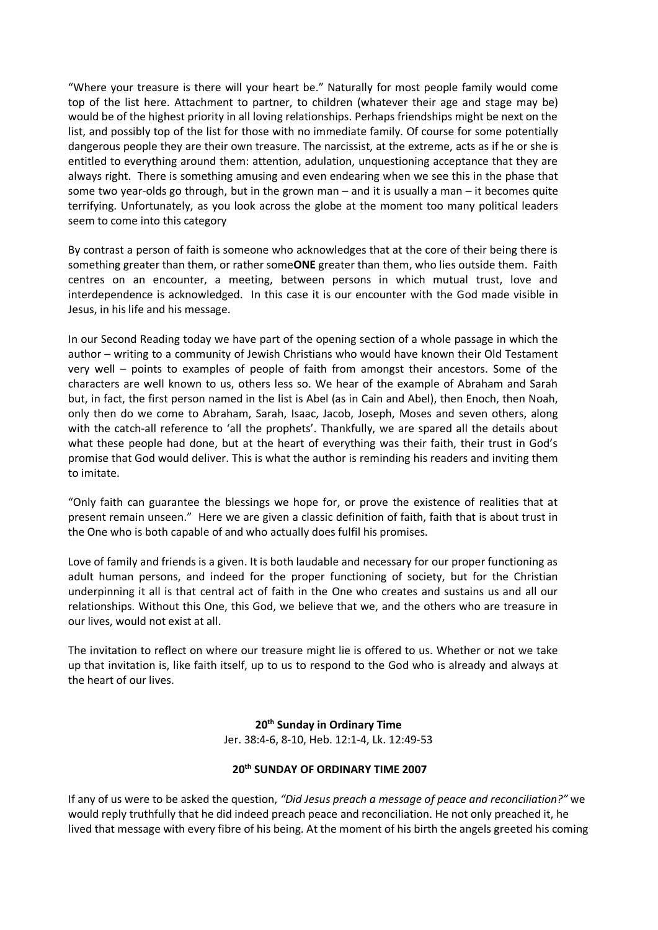"Where your treasure is there will your heart be." Naturally for most people family would come top of the list here. Attachment to partner, to children (whatever their age and stage may be) would be of the highest priority in all loving relationships. Perhaps friendships might be next on the list, and possibly top of the list for those with no immediate family. Of course for some potentially dangerous people they are their own treasure. The narcissist, at the extreme, acts as if he or she is entitled to everything around them: attention, adulation, unquestioning acceptance that they are always right. There is something amusing and even endearing when we see this in the phase that some two year-olds go through, but in the grown man – and it is usually a man – it becomes quite terrifying. Unfortunately, as you look across the globe at the moment too many political leaders seem to come into this category

By contrast a person of faith is someone who acknowledges that at the core of their being there is something greater than them, or rather some**ONE** greater than them, who lies outside them. Faith centres on an encounter, a meeting, between persons in which mutual trust, love and interdependence is acknowledged. In this case it is our encounter with the God made visible in Jesus, in his life and his message.

In our Second Reading today we have part of the opening section of a whole passage in which the author – writing to a community of Jewish Christians who would have known their Old Testament very well – points to examples of people of faith from amongst their ancestors. Some of the characters are well known to us, others less so. We hear of the example of Abraham and Sarah but, in fact, the first person named in the list is Abel (as in Cain and Abel), then Enoch, then Noah, only then do we come to Abraham, Sarah, Isaac, Jacob, Joseph, Moses and seven others, along with the catch-all reference to 'all the prophets'. Thankfully, we are spared all the details about what these people had done, but at the heart of everything was their faith, their trust in God's promise that God would deliver. This is what the author is reminding his readers and inviting them to imitate.

"Only faith can guarantee the blessings we hope for, or prove the existence of realities that at present remain unseen." Here we are given a classic definition of faith, faith that is about trust in the One who is both capable of and who actually does fulfil his promises.

Love of family and friends is a given. It is both laudable and necessary for our proper functioning as adult human persons, and indeed for the proper functioning of society, but for the Christian underpinning it all is that central act of faith in the One who creates and sustains us and all our relationships. Without this One, this God, we believe that we, and the others who are treasure in our lives, would not exist at all.

The invitation to reflect on where our treasure might lie is offered to us. Whether or not we take up that invitation is, like faith itself, up to us to respond to the God who is already and always at the heart of our lives.

> **20th Sunday in Ordinary Time** Jer. 38:4-6, 8-10, Heb. 12:1-4, Lk. 12:49-53

## **20th SUNDAY OF ORDINARY TIME 2007**

If any of us were to be asked the question, *"Did Jesus preach a message of peace and reconciliation?"* we would reply truthfully that he did indeed preach peace and reconciliation. He not only preached it, he lived that message with every fibre of his being. At the moment of his birth the angels greeted his coming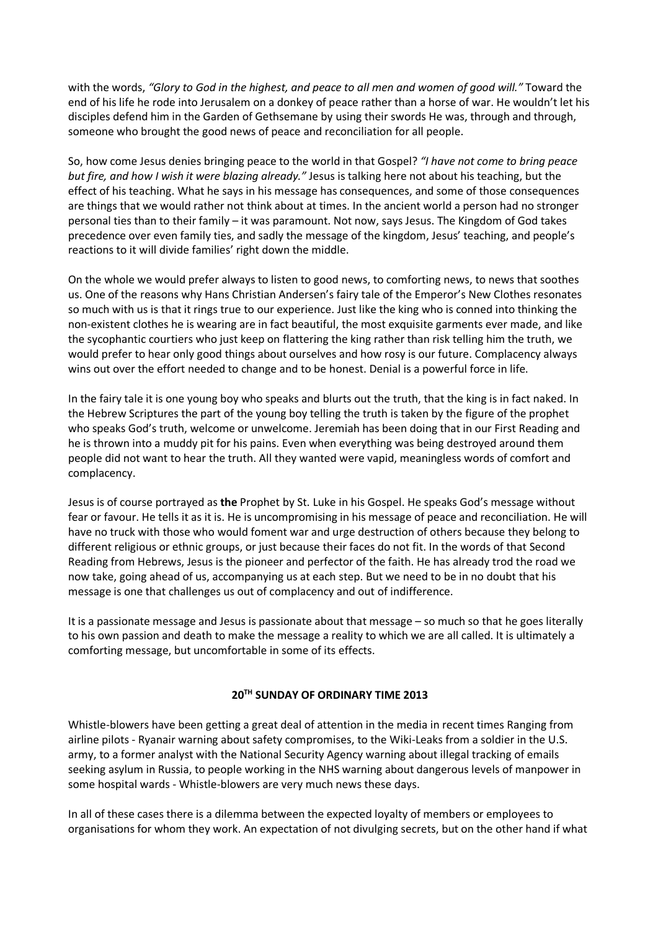with the words, *"Glory to God in the highest, and peace to all men and women of good will."* Toward the end of his life he rode into Jerusalem on a donkey of peace rather than a horse of war. He wouldn't let his disciples defend him in the Garden of Gethsemane by using their swords He was, through and through, someone who brought the good news of peace and reconciliation for all people.

So, how come Jesus denies bringing peace to the world in that Gospel? *"I have not come to bring peace but fire, and how I wish it were blazing already."* Jesus is talking here not about his teaching, but the effect of his teaching. What he says in his message has consequences, and some of those consequences are things that we would rather not think about at times. In the ancient world a person had no stronger personal ties than to their family – it was paramount. Not now, says Jesus. The Kingdom of God takes precedence over even family ties, and sadly the message of the kingdom, Jesus' teaching, and people's reactions to it will divide families' right down the middle.

On the whole we would prefer always to listen to good news, to comforting news, to news that soothes us. One of the reasons why Hans Christian Andersen's fairy tale of the Emperor's New Clothes resonates so much with us is that it rings true to our experience. Just like the king who is conned into thinking the non-existent clothes he is wearing are in fact beautiful, the most exquisite garments ever made, and like the sycophantic courtiers who just keep on flattering the king rather than risk telling him the truth, we would prefer to hear only good things about ourselves and how rosy is our future. Complacency always wins out over the effort needed to change and to be honest. Denial is a powerful force in life.

In the fairy tale it is one young boy who speaks and blurts out the truth, that the king is in fact naked. In the Hebrew Scriptures the part of the young boy telling the truth is taken by the figure of the prophet who speaks God's truth, welcome or unwelcome. Jeremiah has been doing that in our First Reading and he is thrown into a muddy pit for his pains. Even when everything was being destroyed around them people did not want to hear the truth. All they wanted were vapid, meaningless words of comfort and complacency.

Jesus is of course portrayed as **the** Prophet by St. Luke in his Gospel. He speaks God's message without fear or favour. He tells it as it is. He is uncompromising in his message of peace and reconciliation. He will have no truck with those who would foment war and urge destruction of others because they belong to different religious or ethnic groups, or just because their faces do not fit. In the words of that Second Reading from Hebrews, Jesus is the pioneer and perfector of the faith. He has already trod the road we now take, going ahead of us, accompanying us at each step. But we need to be in no doubt that his message is one that challenges us out of complacency and out of indifference.

It is a passionate message and Jesus is passionate about that message – so much so that he goes literally to his own passion and death to make the message a reality to which we are all called. It is ultimately a comforting message, but uncomfortable in some of its effects.

## **20TH SUNDAY OF ORDINARY TIME 2013**

Whistle-blowers have been getting a great deal of attention in the media in recent times Ranging from airline pilots - Ryanair warning about safety compromises, to the Wiki-Leaks from a soldier in the U.S. army, to a former analyst with the National Security Agency warning about illegal tracking of emails seeking asylum in Russia, to people working in the NHS warning about dangerous levels of manpower in some hospital wards - Whistle-blowers are very much news these days.

In all of these cases there is a dilemma between the expected loyalty of members or employees to organisations for whom they work. An expectation of not divulging secrets, but on the other hand if what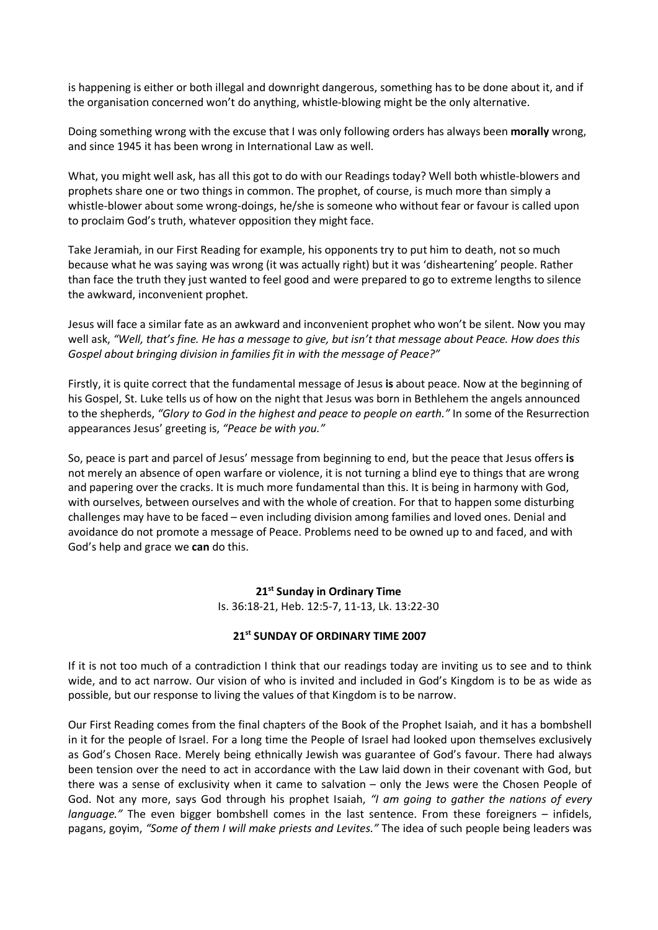is happening is either or both illegal and downright dangerous, something has to be done about it, and if the organisation concerned won't do anything, whistle-blowing might be the only alternative.

Doing something wrong with the excuse that I was only following orders has always been **morally** wrong, and since 1945 it has been wrong in International Law as well.

What, you might well ask, has all this got to do with our Readings today? Well both whistle-blowers and prophets share one or two things in common. The prophet, of course, is much more than simply a whistle-blower about some wrong-doings, he/she is someone who without fear or favour is called upon to proclaim God's truth, whatever opposition they might face.

Take Jeramiah, in our First Reading for example, his opponents try to put him to death, not so much because what he was saying was wrong (it was actually right) but it was 'disheartening' people. Rather than face the truth they just wanted to feel good and were prepared to go to extreme lengths to silence the awkward, inconvenient prophet.

Jesus will face a similar fate as an awkward and inconvenient prophet who won't be silent. Now you may well ask, *"Well, that's fine. He has a message to give, but isn't that message about Peace. How does this Gospel about bringing division in families fit in with the message of Peace?"*

Firstly, it is quite correct that the fundamental message of Jesus **is** about peace. Now at the beginning of his Gospel, St. Luke tells us of how on the night that Jesus was born in Bethlehem the angels announced to the shepherds, *"Glory to God in the highest and peace to people on earth."* In some of the Resurrection appearances Jesus' greeting is, *"Peace be with you."*

So, peace is part and parcel of Jesus' message from beginning to end, but the peace that Jesus offers **is**  not merely an absence of open warfare or violence, it is not turning a blind eye to things that are wrong and papering over the cracks. It is much more fundamental than this. It is being in harmony with God, with ourselves, between ourselves and with the whole of creation. For that to happen some disturbing challenges may have to be faced – even including division among families and loved ones. Denial and avoidance do not promote a message of Peace. Problems need to be owned up to and faced, and with God's help and grace we **can** do this.

# **21st Sunday in Ordinary Time**

Is. 36:18-21, Heb. 12:5-7, 11-13, Lk. 13:22-30

## **21st SUNDAY OF ORDINARY TIME 2007**

If it is not too much of a contradiction I think that our readings today are inviting us to see and to think wide, and to act narrow. Our vision of who is invited and included in God's Kingdom is to be as wide as possible, but our response to living the values of that Kingdom is to be narrow.

Our First Reading comes from the final chapters of the Book of the Prophet Isaiah, and it has a bombshell in it for the people of Israel. For a long time the People of Israel had looked upon themselves exclusively as God's Chosen Race. Merely being ethnically Jewish was guarantee of God's favour. There had always been tension over the need to act in accordance with the Law laid down in their covenant with God, but there was a sense of exclusivity when it came to salvation – only the Jews were the Chosen People of God. Not any more, says God through his prophet Isaiah, *"I am going to gather the nations of every language."* The even bigger bombshell comes in the last sentence. From these foreigners – infidels, pagans, goyim, *"Some of them I will make priests and Levites."* The idea of such people being leaders was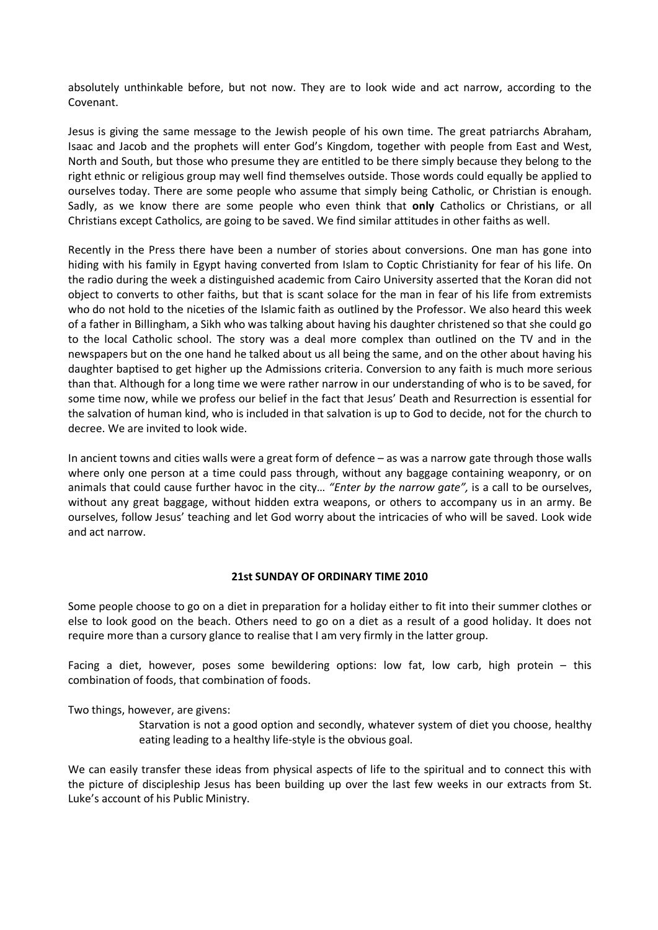absolutely unthinkable before, but not now. They are to look wide and act narrow, according to the Covenant.

Jesus is giving the same message to the Jewish people of his own time. The great patriarchs Abraham, Isaac and Jacob and the prophets will enter God's Kingdom, together with people from East and West, North and South, but those who presume they are entitled to be there simply because they belong to the right ethnic or religious group may well find themselves outside. Those words could equally be applied to ourselves today. There are some people who assume that simply being Catholic, or Christian is enough. Sadly, as we know there are some people who even think that **only** Catholics or Christians, or all Christians except Catholics, are going to be saved. We find similar attitudes in other faiths as well.

Recently in the Press there have been a number of stories about conversions. One man has gone into hiding with his family in Egypt having converted from Islam to Coptic Christianity for fear of his life. On the radio during the week a distinguished academic from Cairo University asserted that the Koran did not object to converts to other faiths, but that is scant solace for the man in fear of his life from extremists who do not hold to the niceties of the Islamic faith as outlined by the Professor. We also heard this week of a father in Billingham, a Sikh who was talking about having his daughter christened so that she could go to the local Catholic school. The story was a deal more complex than outlined on the TV and in the newspapers but on the one hand he talked about us all being the same, and on the other about having his daughter baptised to get higher up the Admissions criteria. Conversion to any faith is much more serious than that. Although for a long time we were rather narrow in our understanding of who is to be saved, for some time now, while we profess our belief in the fact that Jesus' Death and Resurrection is essential for the salvation of human kind, who is included in that salvation is up to God to decide, not for the church to decree. We are invited to look wide.

In ancient towns and cities walls were a great form of defence – as was a narrow gate through those walls where only one person at a time could pass through, without any baggage containing weaponry, or on animals that could cause further havoc in the city… *"Enter by the narrow gate",* is a call to be ourselves, without any great baggage, without hidden extra weapons, or others to accompany us in an army. Be ourselves, follow Jesus' teaching and let God worry about the intricacies of who will be saved. Look wide and act narrow.

## **21st SUNDAY OF ORDINARY TIME 2010**

Some people choose to go on a diet in preparation for a holiday either to fit into their summer clothes or else to look good on the beach. Others need to go on a diet as a result of a good holiday. It does not require more than a cursory glance to realise that I am very firmly in the latter group.

Facing a diet, however, poses some bewildering options: low fat, low carb, high protein – this combination of foods, that combination of foods.

Two things, however, are givens:

Starvation is not a good option and secondly, whatever system of diet you choose, healthy eating leading to a healthy life-style is the obvious goal.

We can easily transfer these ideas from physical aspects of life to the spiritual and to connect this with the picture of discipleship Jesus has been building up over the last few weeks in our extracts from St. Luke's account of his Public Ministry.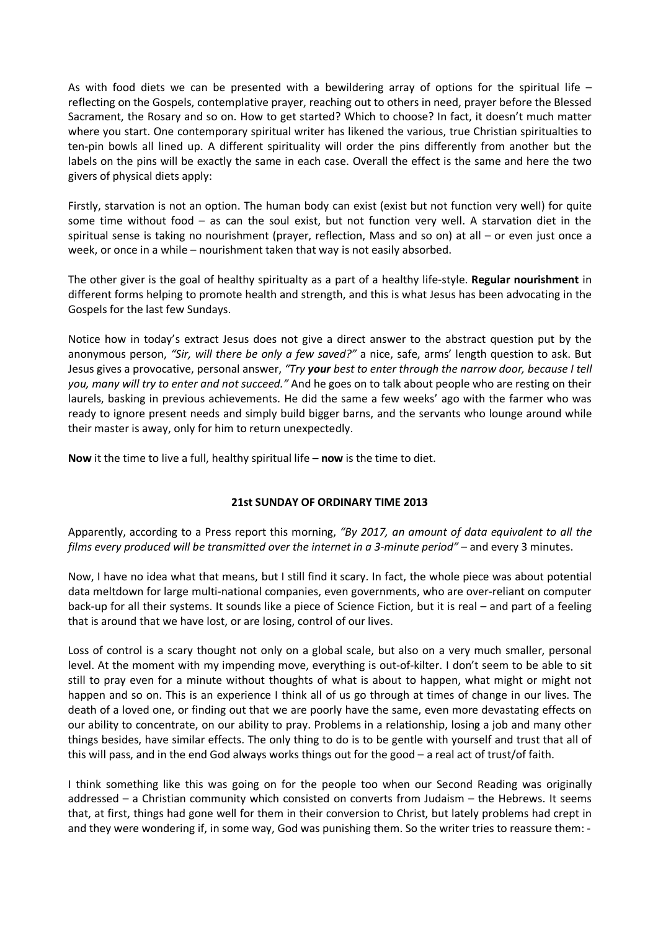As with food diets we can be presented with a bewildering array of options for the spiritual life  $$ reflecting on the Gospels, contemplative prayer, reaching out to others in need, prayer before the Blessed Sacrament, the Rosary and so on. How to get started? Which to choose? In fact, it doesn't much matter where you start. One contemporary spiritual writer has likened the various, true Christian spiritualties to ten-pin bowls all lined up. A different spirituality will order the pins differently from another but the labels on the pins will be exactly the same in each case. Overall the effect is the same and here the two givers of physical diets apply:

Firstly, starvation is not an option. The human body can exist (exist but not function very well) for quite some time without food – as can the soul exist, but not function very well. A starvation diet in the spiritual sense is taking no nourishment (prayer, reflection, Mass and so on) at all – or even just once a week, or once in a while – nourishment taken that way is not easily absorbed.

The other giver is the goal of healthy spiritualty as a part of a healthy life-style. **Regular nourishment** in different forms helping to promote health and strength, and this is what Jesus has been advocating in the Gospels for the last few Sundays.

Notice how in today's extract Jesus does not give a direct answer to the abstract question put by the anonymous person, *"Sir, will there be only a few saved?"* a nice, safe, arms' length question to ask. But Jesus gives a provocative, personal answer, *"Try your best to enter through the narrow door, because I tell you, many will try to enter and not succeed."* And he goes on to talk about people who are resting on their laurels, basking in previous achievements. He did the same a few weeks' ago with the farmer who was ready to ignore present needs and simply build bigger barns, and the servants who lounge around while their master is away, only for him to return unexpectedly.

**Now** it the time to live a full, healthy spiritual life – **now** is the time to diet.

# **21st SUNDAY OF ORDINARY TIME 2013**

Apparently, according to a Press report this morning, *"By 2017, an amount of data equivalent to all the films every produced will be transmitted over the internet in a 3-minute period"* – and every 3 minutes.

Now, I have no idea what that means, but I still find it scary. In fact, the whole piece was about potential data meltdown for large multi-national companies, even governments, who are over-reliant on computer back-up for all their systems. It sounds like a piece of Science Fiction, but it is real – and part of a feeling that is around that we have lost, or are losing, control of our lives.

Loss of control is a scary thought not only on a global scale, but also on a very much smaller, personal level. At the moment with my impending move, everything is out-of-kilter. I don't seem to be able to sit still to pray even for a minute without thoughts of what is about to happen, what might or might not happen and so on. This is an experience I think all of us go through at times of change in our lives. The death of a loved one, or finding out that we are poorly have the same, even more devastating effects on our ability to concentrate, on our ability to pray. Problems in a relationship, losing a job and many other things besides, have similar effects. The only thing to do is to be gentle with yourself and trust that all of this will pass, and in the end God always works things out for the good – a real act of trust/of faith.

I think something like this was going on for the people too when our Second Reading was originally addressed – a Christian community which consisted on converts from Judaism – the Hebrews. It seems that, at first, things had gone well for them in their conversion to Christ, but lately problems had crept in and they were wondering if, in some way, God was punishing them. So the writer tries to reassure them: -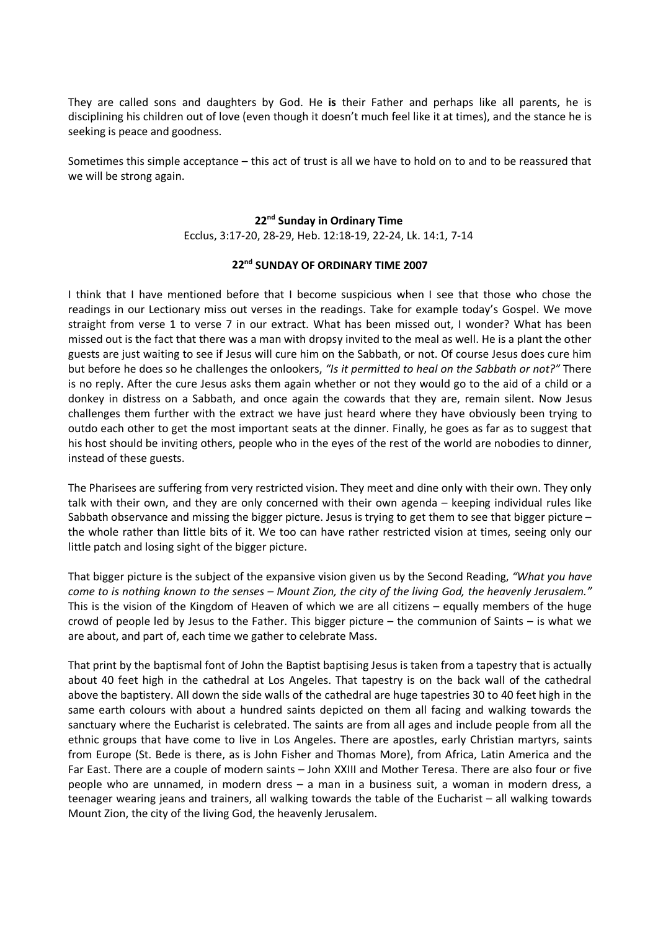They are called sons and daughters by God. He **is** their Father and perhaps like all parents, he is disciplining his children out of love (even though it doesn't much feel like it at times), and the stance he is seeking is peace and goodness.

Sometimes this simple acceptance – this act of trust is all we have to hold on to and to be reassured that we will be strong again.

#### **22nd Sunday in Ordinary Time**

Ecclus, 3:17-20, 28-29, Heb. 12:18-19, 22-24, Lk. 14:1, 7-14

# **22nd SUNDAY OF ORDINARY TIME 2007**

I think that I have mentioned before that I become suspicious when I see that those who chose the readings in our Lectionary miss out verses in the readings. Take for example today's Gospel. We move straight from verse 1 to verse 7 in our extract. What has been missed out, I wonder? What has been missed out is the fact that there was a man with dropsy invited to the meal as well. He is a plant the other guests are just waiting to see if Jesus will cure him on the Sabbath, or not. Of course Jesus does cure him but before he does so he challenges the onlookers, *"Is it permitted to heal on the Sabbath or not?"* There is no reply. After the cure Jesus asks them again whether or not they would go to the aid of a child or a donkey in distress on a Sabbath, and once again the cowards that they are, remain silent. Now Jesus challenges them further with the extract we have just heard where they have obviously been trying to outdo each other to get the most important seats at the dinner. Finally, he goes as far as to suggest that his host should be inviting others, people who in the eyes of the rest of the world are nobodies to dinner, instead of these guests.

The Pharisees are suffering from very restricted vision. They meet and dine only with their own. They only talk with their own, and they are only concerned with their own agenda – keeping individual rules like Sabbath observance and missing the bigger picture. Jesus is trying to get them to see that bigger picture – the whole rather than little bits of it. We too can have rather restricted vision at times, seeing only our little patch and losing sight of the bigger picture.

That bigger picture is the subject of the expansive vision given us by the Second Reading, *"What you have come to is nothing known to the senses – Mount Zion, the city of the living God, the heavenly Jerusalem."* This is the vision of the Kingdom of Heaven of which we are all citizens – equally members of the huge crowd of people led by Jesus to the Father. This bigger picture – the communion of Saints – is what we are about, and part of, each time we gather to celebrate Mass.

That print by the baptismal font of John the Baptist baptising Jesus is taken from a tapestry that is actually about 40 feet high in the cathedral at Los Angeles. That tapestry is on the back wall of the cathedral above the baptistery. All down the side walls of the cathedral are huge tapestries 30 to 40 feet high in the same earth colours with about a hundred saints depicted on them all facing and walking towards the sanctuary where the Eucharist is celebrated. The saints are from all ages and include people from all the ethnic groups that have come to live in Los Angeles. There are apostles, early Christian martyrs, saints from Europe (St. Bede is there, as is John Fisher and Thomas More), from Africa, Latin America and the Far East. There are a couple of modern saints – John XXIII and Mother Teresa. There are also four or five people who are unnamed, in modern dress – a man in a business suit, a woman in modern dress, a teenager wearing jeans and trainers, all walking towards the table of the Eucharist – all walking towards Mount Zion, the city of the living God, the heavenly Jerusalem.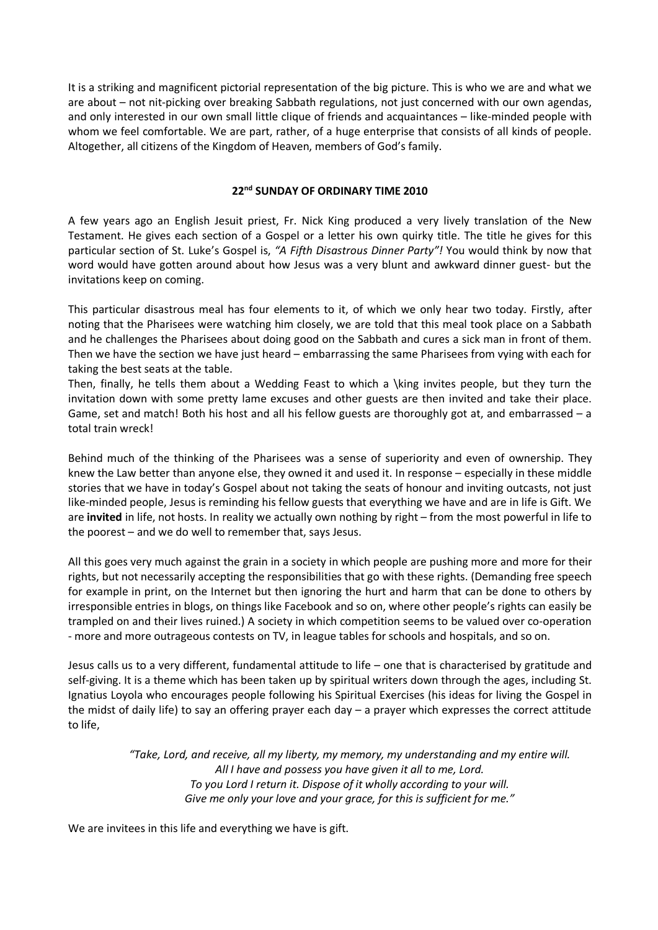It is a striking and magnificent pictorial representation of the big picture. This is who we are and what we are about – not nit-picking over breaking Sabbath regulations, not just concerned with our own agendas, and only interested in our own small little clique of friends and acquaintances – like-minded people with whom we feel comfortable. We are part, rather, of a huge enterprise that consists of all kinds of people. Altogether, all citizens of the Kingdom of Heaven, members of God's family.

# **22nd SUNDAY OF ORDINARY TIME 2010**

A few years ago an English Jesuit priest, Fr. Nick King produced a very lively translation of the New Testament. He gives each section of a Gospel or a letter his own quirky title. The title he gives for this particular section of St. Luke's Gospel is, *"A Fifth Disastrous Dinner Party"!* You would think by now that word would have gotten around about how Jesus was a very blunt and awkward dinner guest- but the invitations keep on coming.

This particular disastrous meal has four elements to it, of which we only hear two today. Firstly, after noting that the Pharisees were watching him closely, we are told that this meal took place on a Sabbath and he challenges the Pharisees about doing good on the Sabbath and cures a sick man in front of them. Then we have the section we have just heard – embarrassing the same Pharisees from vying with each for taking the best seats at the table.

Then, finally, he tells them about a Wedding Feast to which a \king invites people, but they turn the invitation down with some pretty lame excuses and other guests are then invited and take their place. Game, set and match! Both his host and all his fellow guests are thoroughly got at, and embarrassed – a total train wreck!

Behind much of the thinking of the Pharisees was a sense of superiority and even of ownership. They knew the Law better than anyone else, they owned it and used it. In response – especially in these middle stories that we have in today's Gospel about not taking the seats of honour and inviting outcasts, not just like-minded people, Jesus is reminding his fellow guests that everything we have and are in life is Gift. We are **invited** in life, not hosts. In reality we actually own nothing by right – from the most powerful in life to the poorest – and we do well to remember that, says Jesus.

All this goes very much against the grain in a society in which people are pushing more and more for their rights, but not necessarily accepting the responsibilities that go with these rights. (Demanding free speech for example in print, on the Internet but then ignoring the hurt and harm that can be done to others by irresponsible entries in blogs, on things like Facebook and so on, where other people's rights can easily be trampled on and their lives ruined.) A society in which competition seems to be valued over co-operation - more and more outrageous contests on TV, in league tables for schools and hospitals, and so on.

Jesus calls us to a very different, fundamental attitude to life – one that is characterised by gratitude and self-giving. It is a theme which has been taken up by spiritual writers down through the ages, including St. Ignatius Loyola who encourages people following his Spiritual Exercises (his ideas for living the Gospel in the midst of daily life) to say an offering prayer each day – a prayer which expresses the correct attitude to life,

> *"Take, Lord, and receive, all my liberty, my memory, my understanding and my entire will. All I have and possess you have given it all to me, Lord. To you Lord I return it. Dispose of it wholly according to your will. Give me only your love and your grace, for this is sufficient for me."*

We are invitees in this life and everything we have is gift.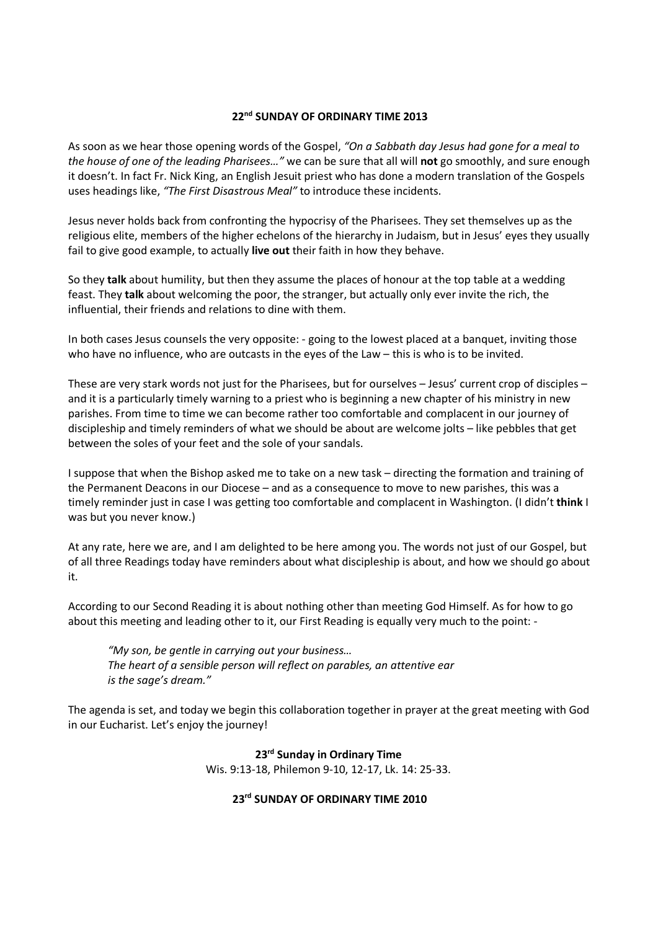## **22nd SUNDAY OF ORDINARY TIME 2013**

As soon as we hear those opening words of the Gospel, *"On a Sabbath day Jesus had gone for a meal to the house of one of the leading Pharisees…"* we can be sure that all will **not** go smoothly, and sure enough it doesn't. In fact Fr. Nick King, an English Jesuit priest who has done a modern translation of the Gospels uses headings like, *"The First Disastrous Meal"* to introduce these incidents.

Jesus never holds back from confronting the hypocrisy of the Pharisees. They set themselves up as the religious elite, members of the higher echelons of the hierarchy in Judaism, but in Jesus' eyes they usually fail to give good example, to actually **live out** their faith in how they behave.

So they **talk** about humility, but then they assume the places of honour at the top table at a wedding feast. They **talk** about welcoming the poor, the stranger, but actually only ever invite the rich, the influential, their friends and relations to dine with them.

In both cases Jesus counsels the very opposite: - going to the lowest placed at a banquet, inviting those who have no influence, who are outcasts in the eyes of the Law – this is who is to be invited.

These are very stark words not just for the Pharisees, but for ourselves – Jesus' current crop of disciples – and it is a particularly timely warning to a priest who is beginning a new chapter of his ministry in new parishes. From time to time we can become rather too comfortable and complacent in our journey of discipleship and timely reminders of what we should be about are welcome jolts – like pebbles that get between the soles of your feet and the sole of your sandals.

I suppose that when the Bishop asked me to take on a new task – directing the formation and training of the Permanent Deacons in our Diocese – and as a consequence to move to new parishes, this was a timely reminder just in case I was getting too comfortable and complacent in Washington. (I didn't **think** I was but you never know.)

At any rate, here we are, and I am delighted to be here among you. The words not just of our Gospel, but of all three Readings today have reminders about what discipleship is about, and how we should go about it.

According to our Second Reading it is about nothing other than meeting God Himself. As for how to go about this meeting and leading other to it, our First Reading is equally very much to the point: -

*"My son, be gentle in carrying out your business… The heart of a sensible person will reflect on parables, an attentive ear is the sage's dream."*

The agenda is set, and today we begin this collaboration together in prayer at the great meeting with God in our Eucharist. Let's enjoy the journey!

> **23rd Sunday in Ordinary Time** Wis. 9:13-18, Philemon 9-10, 12-17, Lk. 14: 25-33.

# **23rd SUNDAY OF ORDINARY TIME 2010**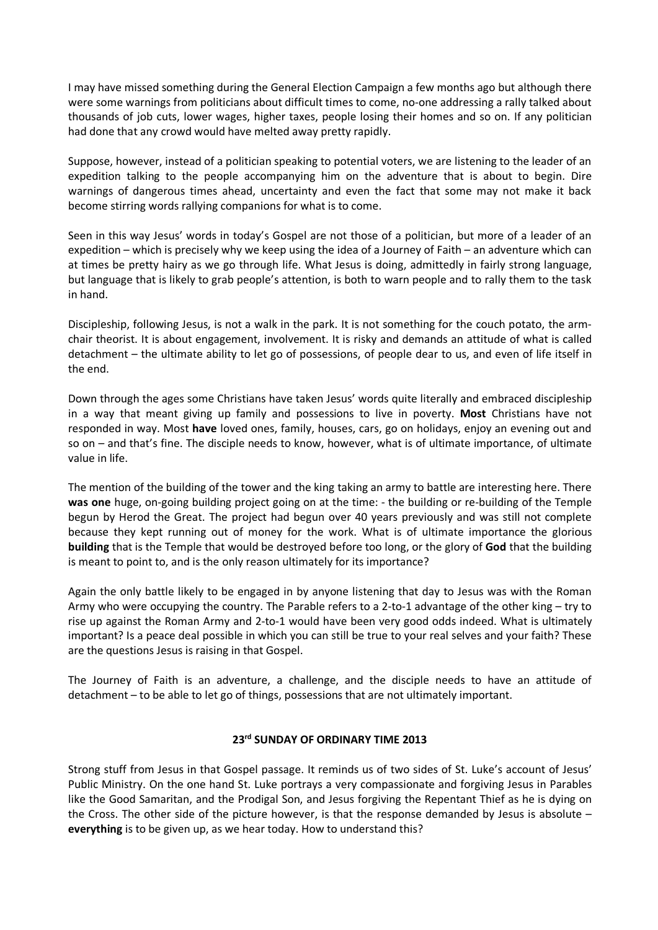I may have missed something during the General Election Campaign a few months ago but although there were some warnings from politicians about difficult times to come, no-one addressing a rally talked about thousands of job cuts, lower wages, higher taxes, people losing their homes and so on. If any politician had done that any crowd would have melted away pretty rapidly.

Suppose, however, instead of a politician speaking to potential voters, we are listening to the leader of an expedition talking to the people accompanying him on the adventure that is about to begin. Dire warnings of dangerous times ahead, uncertainty and even the fact that some may not make it back become stirring words rallying companions for what is to come.

Seen in this way Jesus' words in today's Gospel are not those of a politician, but more of a leader of an expedition – which is precisely why we keep using the idea of a Journey of Faith – an adventure which can at times be pretty hairy as we go through life. What Jesus is doing, admittedly in fairly strong language, but language that is likely to grab people's attention, is both to warn people and to rally them to the task in hand.

Discipleship, following Jesus, is not a walk in the park. It is not something for the couch potato, the armchair theorist. It is about engagement, involvement. It is risky and demands an attitude of what is called detachment – the ultimate ability to let go of possessions, of people dear to us, and even of life itself in the end.

Down through the ages some Christians have taken Jesus' words quite literally and embraced discipleship in a way that meant giving up family and possessions to live in poverty. **Most** Christians have not responded in way. Most **have** loved ones, family, houses, cars, go on holidays, enjoy an evening out and so on – and that's fine. The disciple needs to know, however, what is of ultimate importance, of ultimate value in life.

The mention of the building of the tower and the king taking an army to battle are interesting here. There **was one** huge, on-going building project going on at the time: - the building or re-building of the Temple begun by Herod the Great. The project had begun over 40 years previously and was still not complete because they kept running out of money for the work. What is of ultimate importance the glorious **building** that is the Temple that would be destroyed before too long, or the glory of **God** that the building is meant to point to, and is the only reason ultimately for its importance?

Again the only battle likely to be engaged in by anyone listening that day to Jesus was with the Roman Army who were occupying the country. The Parable refers to a 2-to-1 advantage of the other king – try to rise up against the Roman Army and 2-to-1 would have been very good odds indeed. What is ultimately important? Is a peace deal possible in which you can still be true to your real selves and your faith? These are the questions Jesus is raising in that Gospel.

The Journey of Faith is an adventure, a challenge, and the disciple needs to have an attitude of detachment – to be able to let go of things, possessions that are not ultimately important.

## **23rd SUNDAY OF ORDINARY TIME 2013**

Strong stuff from Jesus in that Gospel passage. It reminds us of two sides of St. Luke's account of Jesus' Public Ministry. On the one hand St. Luke portrays a very compassionate and forgiving Jesus in Parables like the Good Samaritan, and the Prodigal Son, and Jesus forgiving the Repentant Thief as he is dying on the Cross. The other side of the picture however, is that the response demanded by Jesus is absolute – **everything** is to be given up, as we hear today. How to understand this?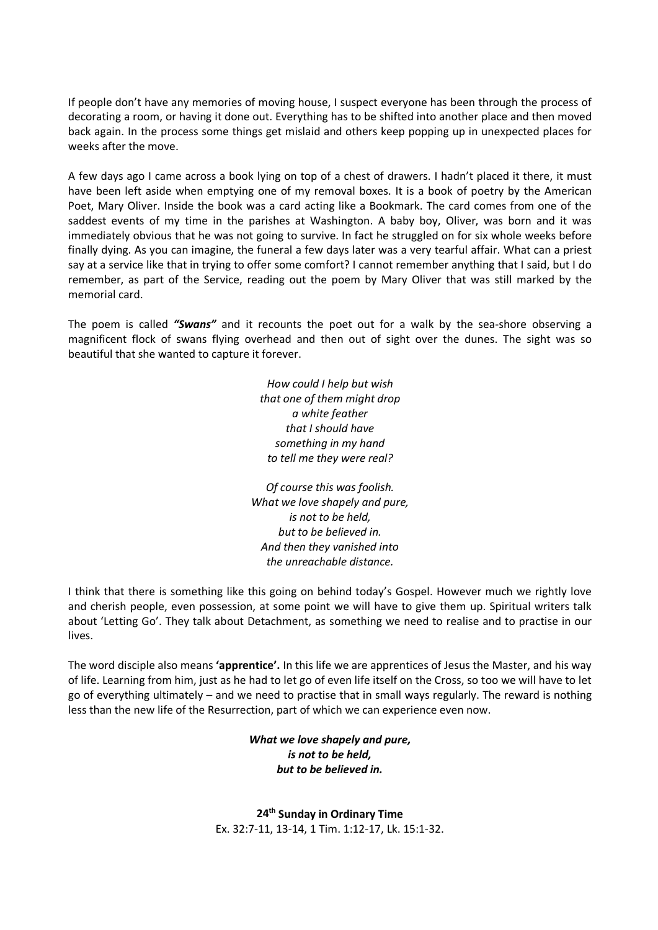If people don't have any memories of moving house, I suspect everyone has been through the process of decorating a room, or having it done out. Everything has to be shifted into another place and then moved back again. In the process some things get mislaid and others keep popping up in unexpected places for weeks after the move.

A few days ago I came across a book lying on top of a chest of drawers. I hadn't placed it there, it must have been left aside when emptying one of my removal boxes. It is a book of poetry by the American Poet, Mary Oliver. Inside the book was a card acting like a Bookmark. The card comes from one of the saddest events of my time in the parishes at Washington. A baby boy, Oliver, was born and it was immediately obvious that he was not going to survive. In fact he struggled on for six whole weeks before finally dying. As you can imagine, the funeral a few days later was a very tearful affair. What can a priest say at a service like that in trying to offer some comfort? I cannot remember anything that I said, but I do remember, as part of the Service, reading out the poem by Mary Oliver that was still marked by the memorial card.

The poem is called *"Swans"* and it recounts the poet out for a walk by the sea-shore observing a magnificent flock of swans flying overhead and then out of sight over the dunes. The sight was so beautiful that she wanted to capture it forever.

> *How could I help but wish that one of them might drop a white feather that I should have something in my hand to tell me they were real?*

*Of course this was foolish. What we love shapely and pure, is not to be held, but to be believed in. And then they vanished into the unreachable distance.*

I think that there is something like this going on behind today's Gospel. However much we rightly love and cherish people, even possession, at some point we will have to give them up. Spiritual writers talk about 'Letting Go'. They talk about Detachment, as something we need to realise and to practise in our lives.

The word disciple also means **'apprentice'.** In this life we are apprentices of Jesus the Master, and his way of life. Learning from him, just as he had to let go of even life itself on the Cross, so too we will have to let go of everything ultimately – and we need to practise that in small ways regularly. The reward is nothing less than the new life of the Resurrection, part of which we can experience even now.

# *What we love shapely and pure, is not to be held, but to be believed in.*

**24th Sunday in Ordinary Time** Ex. 32:7-11, 13-14, 1 Tim. 1:12-17, Lk. 15:1-32.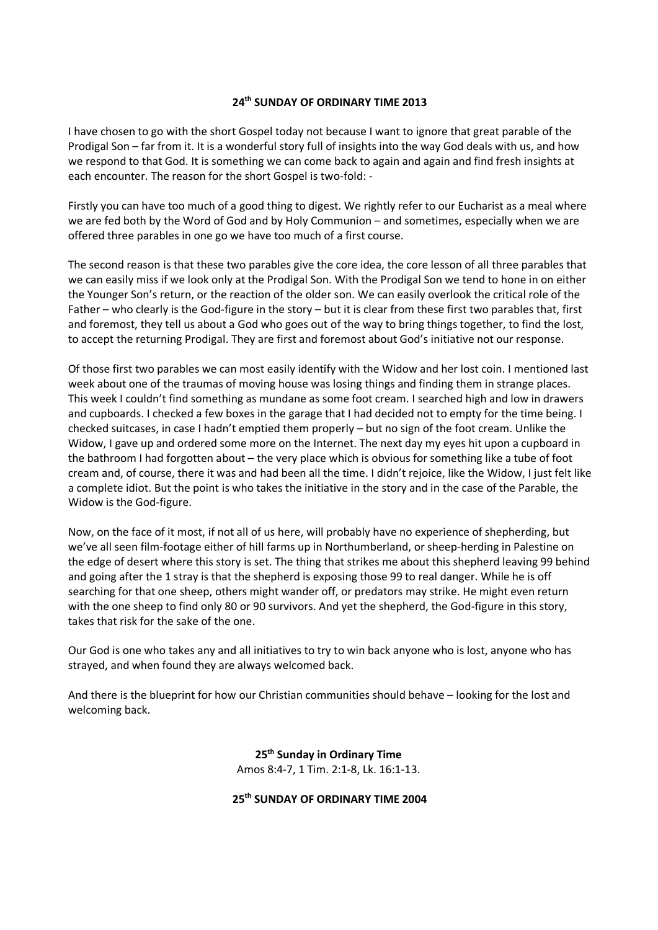## **24th SUNDAY OF ORDINARY TIME 2013**

I have chosen to go with the short Gospel today not because I want to ignore that great parable of the Prodigal Son – far from it. It is a wonderful story full of insights into the way God deals with us, and how we respond to that God. It is something we can come back to again and again and find fresh insights at each encounter. The reason for the short Gospel is two-fold: -

Firstly you can have too much of a good thing to digest. We rightly refer to our Eucharist as a meal where we are fed both by the Word of God and by Holy Communion – and sometimes, especially when we are offered three parables in one go we have too much of a first course.

The second reason is that these two parables give the core idea, the core lesson of all three parables that we can easily miss if we look only at the Prodigal Son. With the Prodigal Son we tend to hone in on either the Younger Son's return, or the reaction of the older son. We can easily overlook the critical role of the Father – who clearly is the God-figure in the story – but it is clear from these first two parables that, first and foremost, they tell us about a God who goes out of the way to bring things together, to find the lost, to accept the returning Prodigal. They are first and foremost about God's initiative not our response.

Of those first two parables we can most easily identify with the Widow and her lost coin. I mentioned last week about one of the traumas of moving house was losing things and finding them in strange places. This week I couldn't find something as mundane as some foot cream. I searched high and low in drawers and cupboards. I checked a few boxes in the garage that I had decided not to empty for the time being. I checked suitcases, in case I hadn't emptied them properly – but no sign of the foot cream. Unlike the Widow, I gave up and ordered some more on the Internet. The next day my eyes hit upon a cupboard in the bathroom I had forgotten about – the very place which is obvious for something like a tube of foot cream and, of course, there it was and had been all the time. I didn't rejoice, like the Widow, I just felt like a complete idiot. But the point is who takes the initiative in the story and in the case of the Parable, the Widow is the God-figure.

Now, on the face of it most, if not all of us here, will probably have no experience of shepherding, but we've all seen film-footage either of hill farms up in Northumberland, or sheep-herding in Palestine on the edge of desert where this story is set. The thing that strikes me about this shepherd leaving 99 behind and going after the 1 stray is that the shepherd is exposing those 99 to real danger. While he is off searching for that one sheep, others might wander off, or predators may strike. He might even return with the one sheep to find only 80 or 90 survivors. And yet the shepherd, the God-figure in this story, takes that risk for the sake of the one.

Our God is one who takes any and all initiatives to try to win back anyone who is lost, anyone who has strayed, and when found they are always welcomed back.

And there is the blueprint for how our Christian communities should behave – looking for the lost and welcoming back.

> **25th Sunday in Ordinary Time** Amos 8:4-7, 1 Tim. 2:1-8, Lk. 16:1-13.

**25th SUNDAY OF ORDINARY TIME 2004**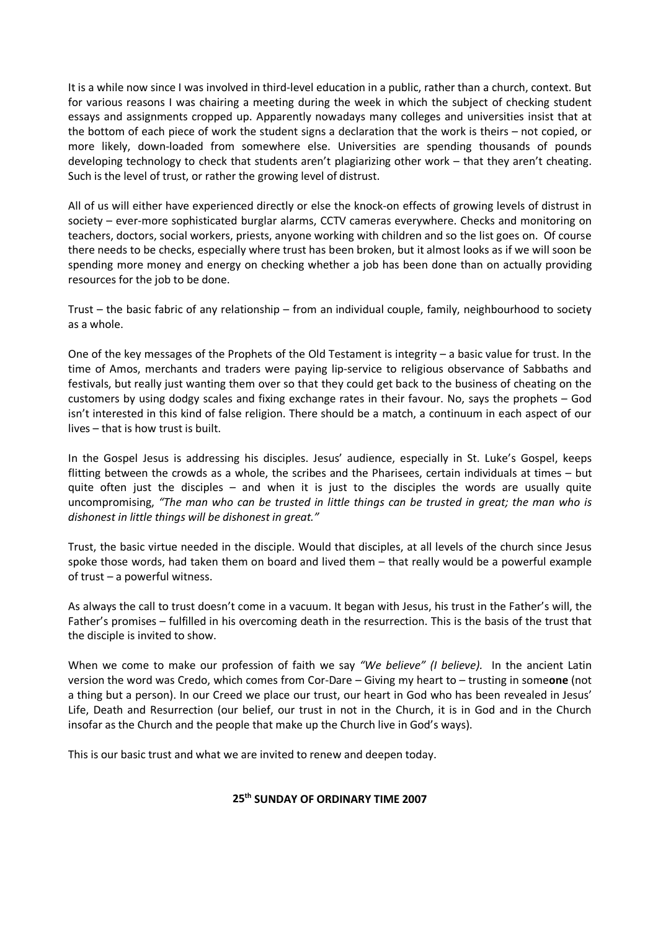It is a while now since I was involved in third-level education in a public, rather than a church, context. But for various reasons I was chairing a meeting during the week in which the subject of checking student essays and assignments cropped up. Apparently nowadays many colleges and universities insist that at the bottom of each piece of work the student signs a declaration that the work is theirs – not copied, or more likely, down-loaded from somewhere else. Universities are spending thousands of pounds developing technology to check that students aren't plagiarizing other work – that they aren't cheating. Such is the level of trust, or rather the growing level of distrust.

All of us will either have experienced directly or else the knock-on effects of growing levels of distrust in society – ever-more sophisticated burglar alarms, CCTV cameras everywhere. Checks and monitoring on teachers, doctors, social workers, priests, anyone working with children and so the list goes on. Of course there needs to be checks, especially where trust has been broken, but it almost looks as if we will soon be spending more money and energy on checking whether a job has been done than on actually providing resources for the job to be done.

Trust – the basic fabric of any relationship – from an individual couple, family, neighbourhood to society as a whole.

One of the key messages of the Prophets of the Old Testament is integrity – a basic value for trust. In the time of Amos, merchants and traders were paying lip-service to religious observance of Sabbaths and festivals, but really just wanting them over so that they could get back to the business of cheating on the customers by using dodgy scales and fixing exchange rates in their favour. No, says the prophets – God isn't interested in this kind of false religion. There should be a match, a continuum in each aspect of our lives – that is how trust is built.

In the Gospel Jesus is addressing his disciples. Jesus' audience, especially in St. Luke's Gospel, keeps flitting between the crowds as a whole, the scribes and the Pharisees, certain individuals at times – but quite often just the disciples – and when it is just to the disciples the words are usually quite uncompromising, *"The man who can be trusted in little things can be trusted in great; the man who is dishonest in little things will be dishonest in great."*

Trust, the basic virtue needed in the disciple. Would that disciples, at all levels of the church since Jesus spoke those words, had taken them on board and lived them – that really would be a powerful example of trust – a powerful witness.

As always the call to trust doesn't come in a vacuum. It began with Jesus, his trust in the Father's will, the Father's promises – fulfilled in his overcoming death in the resurrection. This is the basis of the trust that the disciple is invited to show.

When we come to make our profession of faith we say *"We believe" (I believe).* In the ancient Latin version the word was Credo, which comes from Cor-Dare – Giving my heart to – trusting in some**one** (not a thing but a person). In our Creed we place our trust, our heart in God who has been revealed in Jesus' Life, Death and Resurrection (our belief, our trust in not in the Church, it is in God and in the Church insofar as the Church and the people that make up the Church live in God's ways).

This is our basic trust and what we are invited to renew and deepen today.

# **25th SUNDAY OF ORDINARY TIME 2007**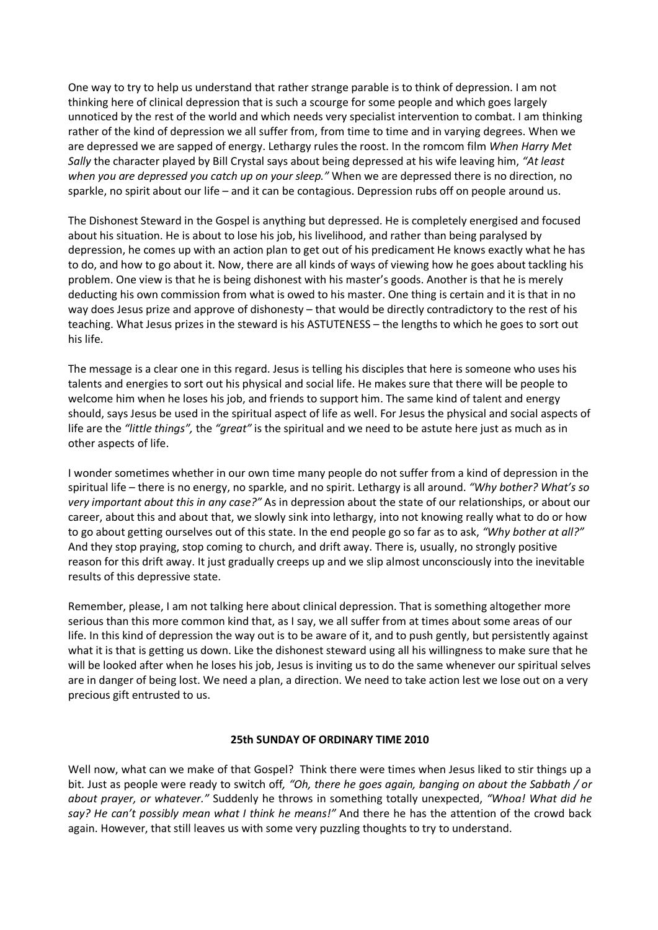One way to try to help us understand that rather strange parable is to think of depression. I am not thinking here of clinical depression that is such a scourge for some people and which goes largely unnoticed by the rest of the world and which needs very specialist intervention to combat. I am thinking rather of the kind of depression we all suffer from, from time to time and in varying degrees. When we are depressed we are sapped of energy. Lethargy rules the roost. In the romcom film *When Harry Met Sally* the character played by Bill Crystal says about being depressed at his wife leaving him, *"At least when you are depressed you catch up on your sleep."* When we are depressed there is no direction, no sparkle, no spirit about our life – and it can be contagious. Depression rubs off on people around us.

The Dishonest Steward in the Gospel is anything but depressed. He is completely energised and focused about his situation. He is about to lose his job, his livelihood, and rather than being paralysed by depression, he comes up with an action plan to get out of his predicament He knows exactly what he has to do, and how to go about it. Now, there are all kinds of ways of viewing how he goes about tackling his problem. One view is that he is being dishonest with his master's goods. Another is that he is merely deducting his own commission from what is owed to his master. One thing is certain and it is that in no way does Jesus prize and approve of dishonesty – that would be directly contradictory to the rest of his teaching. What Jesus prizes in the steward is his ASTUTENESS – the lengths to which he goes to sort out his life.

The message is a clear one in this regard. Jesus is telling his disciples that here is someone who uses his talents and energies to sort out his physical and social life. He makes sure that there will be people to welcome him when he loses his job, and friends to support him. The same kind of talent and energy should, says Jesus be used in the spiritual aspect of life as well. For Jesus the physical and social aspects of life are the *"little things",* the *"great"* is the spiritual and we need to be astute here just as much as in other aspects of life.

I wonder sometimes whether in our own time many people do not suffer from a kind of depression in the spiritual life – there is no energy, no sparkle, and no spirit. Lethargy is all around. *"Why bother? What's so very important about this in any case?"* As in depression about the state of our relationships, or about our career, about this and about that, we slowly sink into lethargy, into not knowing really what to do or how to go about getting ourselves out of this state. In the end people go so far as to ask, *"Why bother at all?"* And they stop praying, stop coming to church, and drift away. There is, usually, no strongly positive reason for this drift away. It just gradually creeps up and we slip almost unconsciously into the inevitable results of this depressive state.

Remember, please, I am not talking here about clinical depression. That is something altogether more serious than this more common kind that, as I say, we all suffer from at times about some areas of our life. In this kind of depression the way out is to be aware of it, and to push gently, but persistently against what it is that is getting us down. Like the dishonest steward using all his willingness to make sure that he will be looked after when he loses his job, Jesus is inviting us to do the same whenever our spiritual selves are in danger of being lost. We need a plan, a direction. We need to take action lest we lose out on a very precious gift entrusted to us.

## **25th SUNDAY OF ORDINARY TIME 2010**

Well now, what can we make of that Gospel? Think there were times when Jesus liked to stir things up a bit. Just as people were ready to switch off*, "Oh, there he goes again, banging on about the Sabbath / or about prayer, or whatever."* Suddenly he throws in something totally unexpected, *"Whoa! What did he say? He can't possibly mean what I think he means!"* And there he has the attention of the crowd back again. However, that still leaves us with some very puzzling thoughts to try to understand.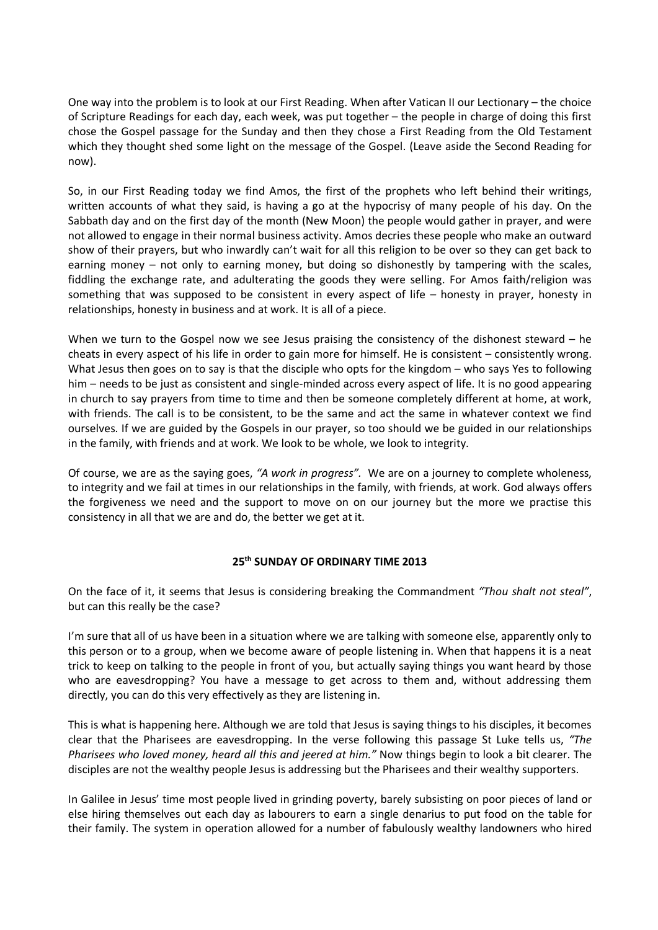One way into the problem is to look at our First Reading. When after Vatican II our Lectionary – the choice of Scripture Readings for each day, each week, was put together – the people in charge of doing this first chose the Gospel passage for the Sunday and then they chose a First Reading from the Old Testament which they thought shed some light on the message of the Gospel. (Leave aside the Second Reading for now).

So, in our First Reading today we find Amos, the first of the prophets who left behind their writings, written accounts of what they said, is having a go at the hypocrisy of many people of his day. On the Sabbath day and on the first day of the month (New Moon) the people would gather in prayer, and were not allowed to engage in their normal business activity. Amos decries these people who make an outward show of their prayers, but who inwardly can't wait for all this religion to be over so they can get back to earning money – not only to earning money, but doing so dishonestly by tampering with the scales, fiddling the exchange rate, and adulterating the goods they were selling. For Amos faith/religion was something that was supposed to be consistent in every aspect of life – honesty in prayer, honesty in relationships, honesty in business and at work. It is all of a piece.

When we turn to the Gospel now we see Jesus praising the consistency of the dishonest steward – he cheats in every aspect of his life in order to gain more for himself. He is consistent – consistently wrong. What Jesus then goes on to say is that the disciple who opts for the kingdom – who says Yes to following him – needs to be just as consistent and single-minded across every aspect of life. It is no good appearing in church to say prayers from time to time and then be someone completely different at home, at work, with friends. The call is to be consistent, to be the same and act the same in whatever context we find ourselves. If we are guided by the Gospels in our prayer, so too should we be guided in our relationships in the family, with friends and at work. We look to be whole, we look to integrity.

Of course, we are as the saying goes, *"A work in progress".* We are on a journey to complete wholeness, to integrity and we fail at times in our relationships in the family, with friends, at work. God always offers the forgiveness we need and the support to move on on our journey but the more we practise this consistency in all that we are and do, the better we get at it.

## **25th SUNDAY OF ORDINARY TIME 2013**

On the face of it, it seems that Jesus is considering breaking the Commandment *"Thou shalt not steal"*, but can this really be the case?

I'm sure that all of us have been in a situation where we are talking with someone else, apparently only to this person or to a group, when we become aware of people listening in. When that happens it is a neat trick to keep on talking to the people in front of you, but actually saying things you want heard by those who are eavesdropping? You have a message to get across to them and, without addressing them directly, you can do this very effectively as they are listening in.

This is what is happening here. Although we are told that Jesus is saying things to his disciples, it becomes clear that the Pharisees are eavesdropping. In the verse following this passage St Luke tells us, *"The Pharisees who loved money, heard all this and jeered at him."* Now things begin to look a bit clearer. The disciples are not the wealthy people Jesus is addressing but the Pharisees and their wealthy supporters.

In Galilee in Jesus' time most people lived in grinding poverty, barely subsisting on poor pieces of land or else hiring themselves out each day as labourers to earn a single denarius to put food on the table for their family. The system in operation allowed for a number of fabulously wealthy landowners who hired